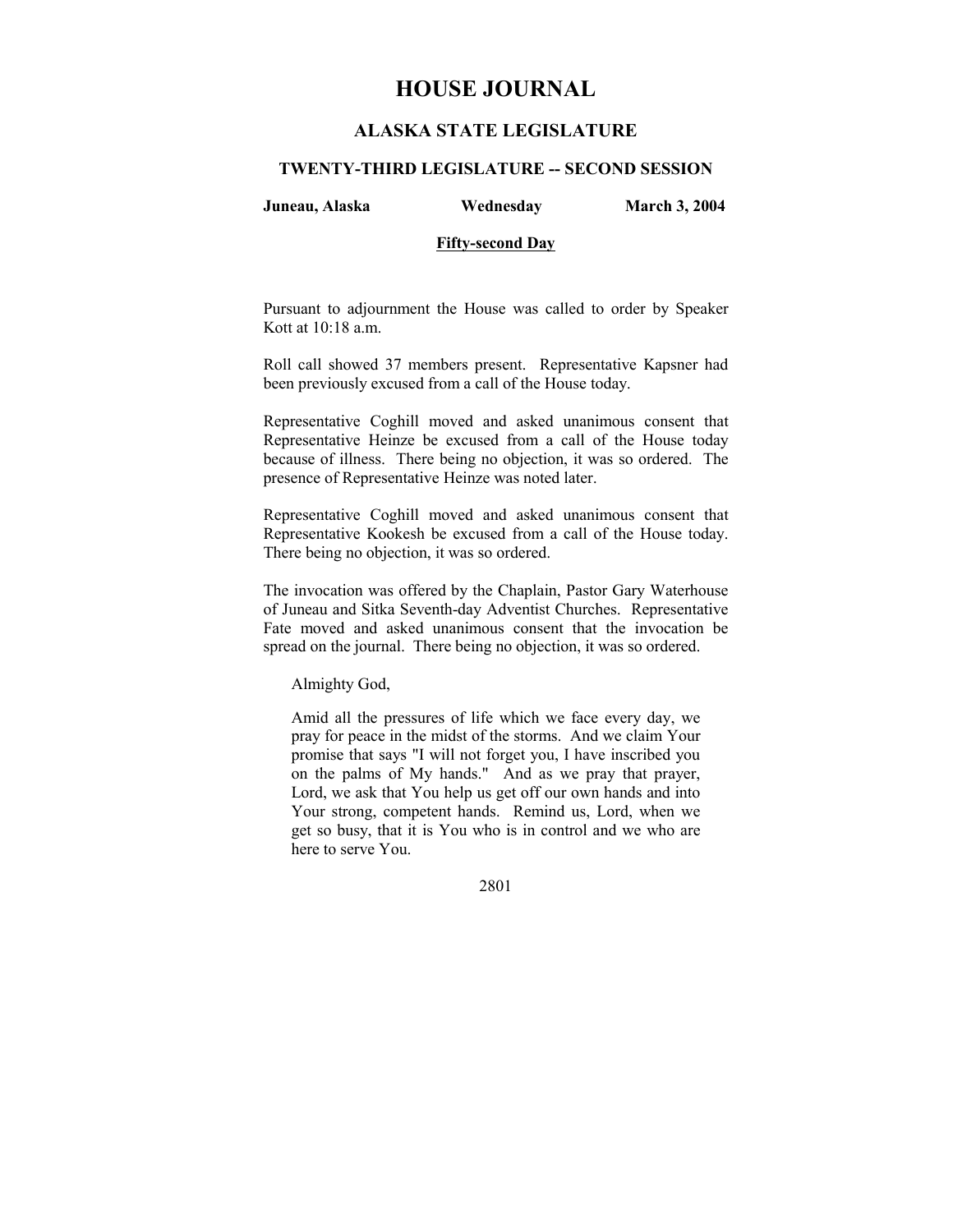# **HOUSE JOURNAL**

# **ALASKA STATE LEGISLATURE**

### **TWENTY-THIRD LEGISLATURE -- SECOND SESSION**

**Juneau, Alaska Wednesday March 3, 2004** 

#### **Fifty-second Day**

Pursuant to adjournment the House was called to order by Speaker Kott at 10:18 a.m.

Roll call showed 37 members present. Representative Kapsner had been previously excused from a call of the House today.

Representative Coghill moved and asked unanimous consent that Representative Heinze be excused from a call of the House today because of illness. There being no objection, it was so ordered. The presence of Representative Heinze was noted later.

Representative Coghill moved and asked unanimous consent that Representative Kookesh be excused from a call of the House today. There being no objection, it was so ordered.

The invocation was offered by the Chaplain, Pastor Gary Waterhouse of Juneau and Sitka Seventh-day Adventist Churches. Representative Fate moved and asked unanimous consent that the invocation be spread on the journal. There being no objection, it was so ordered.

Almighty God,

Amid all the pressures of life which we face every day, we pray for peace in the midst of the storms. And we claim Your promise that says "I will not forget you, I have inscribed you on the palms of My hands." And as we pray that prayer, Lord, we ask that You help us get off our own hands and into Your strong, competent hands. Remind us, Lord, when we get so busy, that it is You who is in control and we who are here to serve You.

2801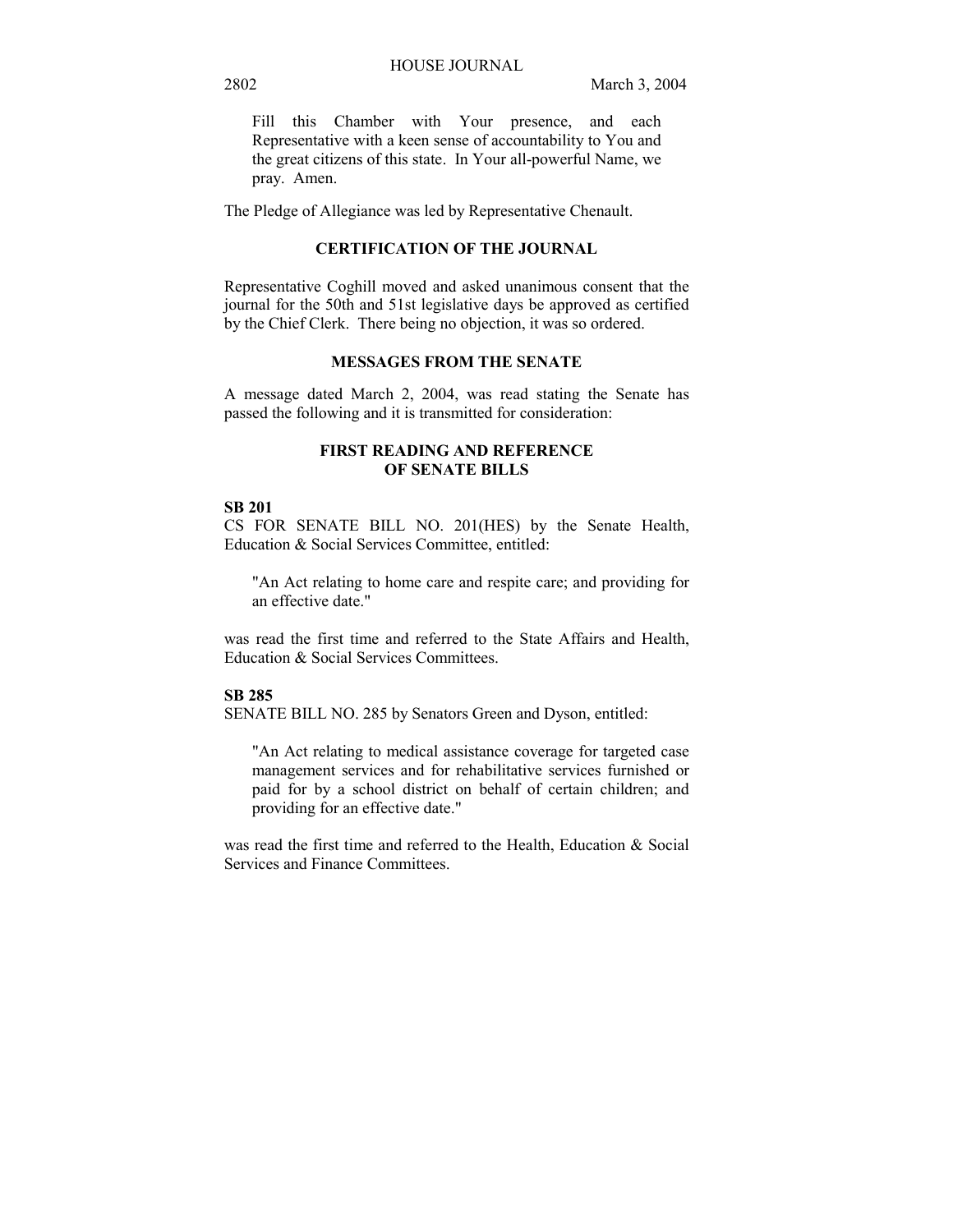Fill this Chamber with Your presence, and each Representative with a keen sense of accountability to You and the great citizens of this state. In Your all-powerful Name, we pray. Amen.

The Pledge of Allegiance was led by Representative Chenault.

# **CERTIFICATION OF THE JOURNAL**

Representative Coghill moved and asked unanimous consent that the journal for the 50th and 51st legislative days be approved as certified by the Chief Clerk. There being no objection, it was so ordered.

## **MESSAGES FROM THE SENATE**

A message dated March 2, 2004, was read stating the Senate has passed the following and it is transmitted for consideration:

## **FIRST READING AND REFERENCE OF SENATE BILLS**

#### **SB 201**

CS FOR SENATE BILL NO. 201(HES) by the Senate Health, Education & Social Services Committee, entitled:

"An Act relating to home care and respite care; and providing for an effective date."

was read the first time and referred to the State Affairs and Health, Education & Social Services Committees.

#### **SB 285**

SENATE BILL NO. 285 by Senators Green and Dyson, entitled:

"An Act relating to medical assistance coverage for targeted case management services and for rehabilitative services furnished or paid for by a school district on behalf of certain children; and providing for an effective date."

was read the first time and referred to the Health, Education & Social Services and Finance Committees.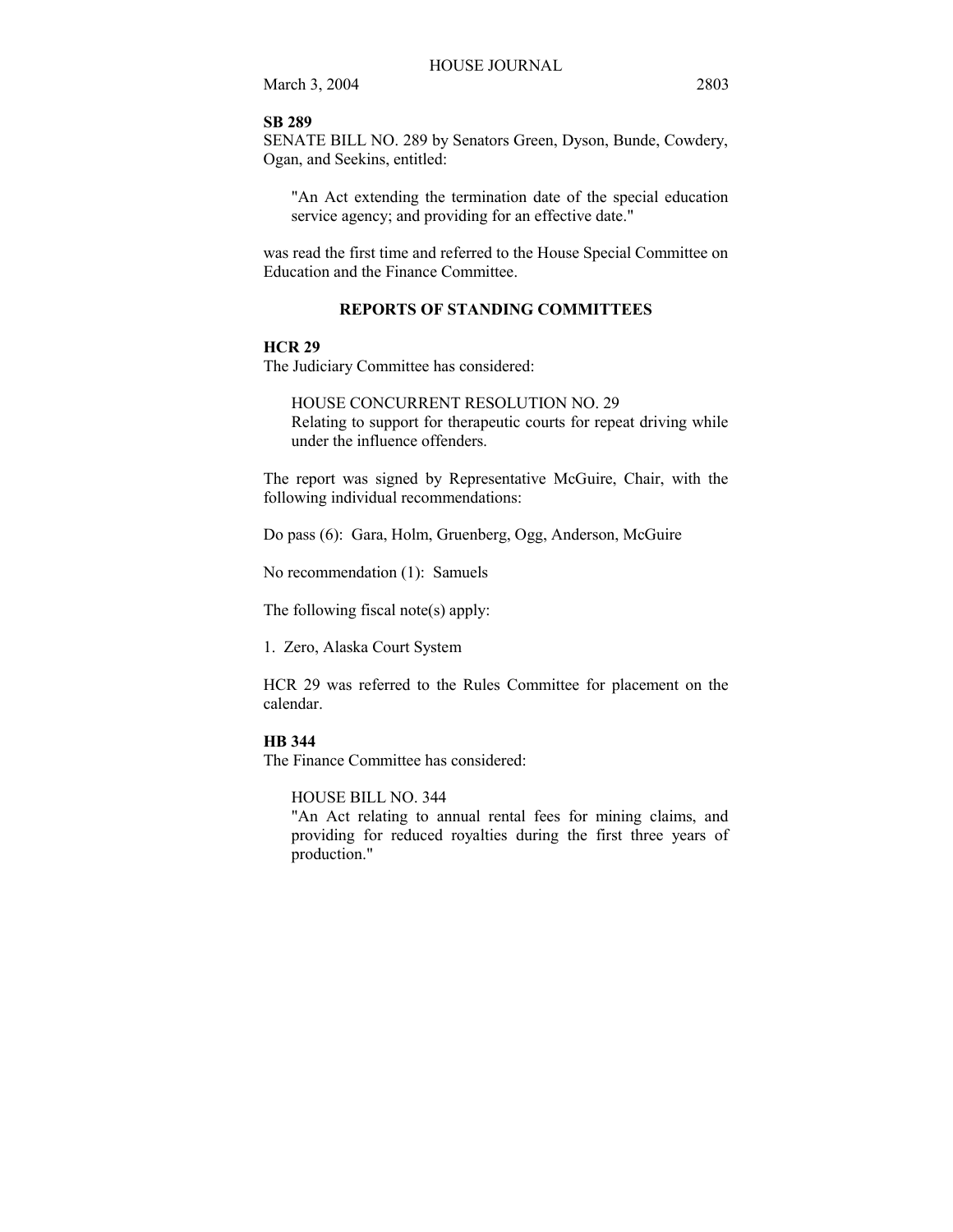## **SB 289**

SENATE BILL NO. 289 by Senators Green, Dyson, Bunde, Cowdery, Ogan, and Seekins, entitled:

"An Act extending the termination date of the special education service agency; and providing for an effective date."

was read the first time and referred to the House Special Committee on Education and the Finance Committee.

## **REPORTS OF STANDING COMMITTEES**

#### **HCR 29**

The Judiciary Committee has considered:

## HOUSE CONCURRENT RESOLUTION NO. 29

Relating to support for therapeutic courts for repeat driving while under the influence offenders.

The report was signed by Representative McGuire, Chair, with the following individual recommendations:

Do pass (6): Gara, Holm, Gruenberg, Ogg, Anderson, McGuire

No recommendation (1): Samuels

The following fiscal note(s) apply:

1. Zero, Alaska Court System

HCR 29 was referred to the Rules Committee for placement on the calendar.

#### **HB 344**

The Finance Committee has considered:

## HOUSE BILL NO. 344

"An Act relating to annual rental fees for mining claims, and providing for reduced royalties during the first three years of production."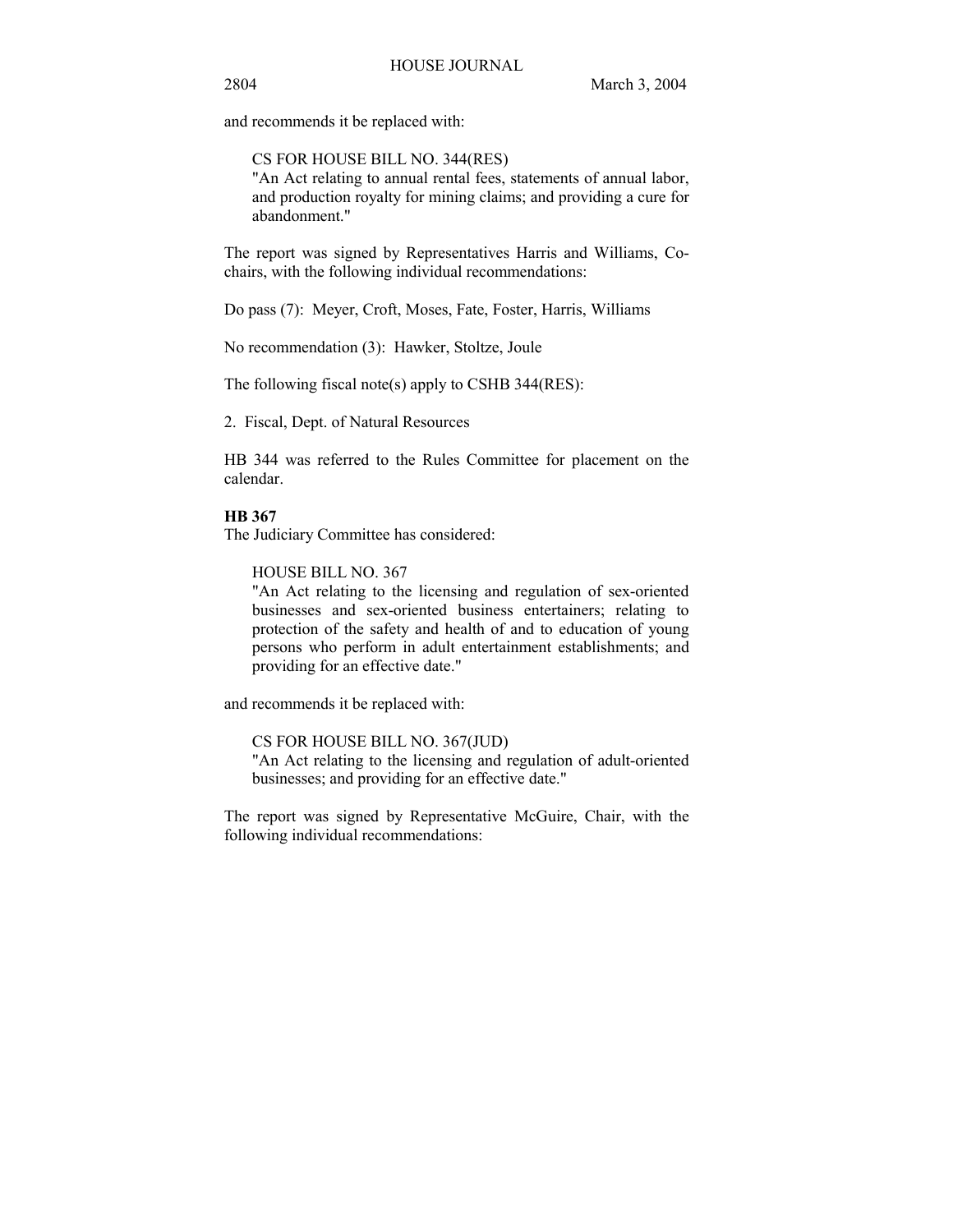and recommends it be replaced with:

CS FOR HOUSE BILL NO. 344(RES) "An Act relating to annual rental fees, statements of annual labor, and production royalty for mining claims; and providing a cure for abandonment."

The report was signed by Representatives Harris and Williams, Cochairs, with the following individual recommendations:

Do pass (7): Meyer, Croft, Moses, Fate, Foster, Harris, Williams

No recommendation (3): Hawker, Stoltze, Joule

The following fiscal note(s) apply to CSHB 344(RES):

2. Fiscal, Dept. of Natural Resources

HB 344 was referred to the Rules Committee for placement on the calendar.

# **HB 367**

The Judiciary Committee has considered:

HOUSE BILL NO. 367

"An Act relating to the licensing and regulation of sex-oriented businesses and sex-oriented business entertainers; relating to protection of the safety and health of and to education of young persons who perform in adult entertainment establishments; and providing for an effective date."

and recommends it be replaced with:

CS FOR HOUSE BILL NO. 367(JUD)

"An Act relating to the licensing and regulation of adult-oriented businesses; and providing for an effective date."

The report was signed by Representative McGuire, Chair, with the following individual recommendations: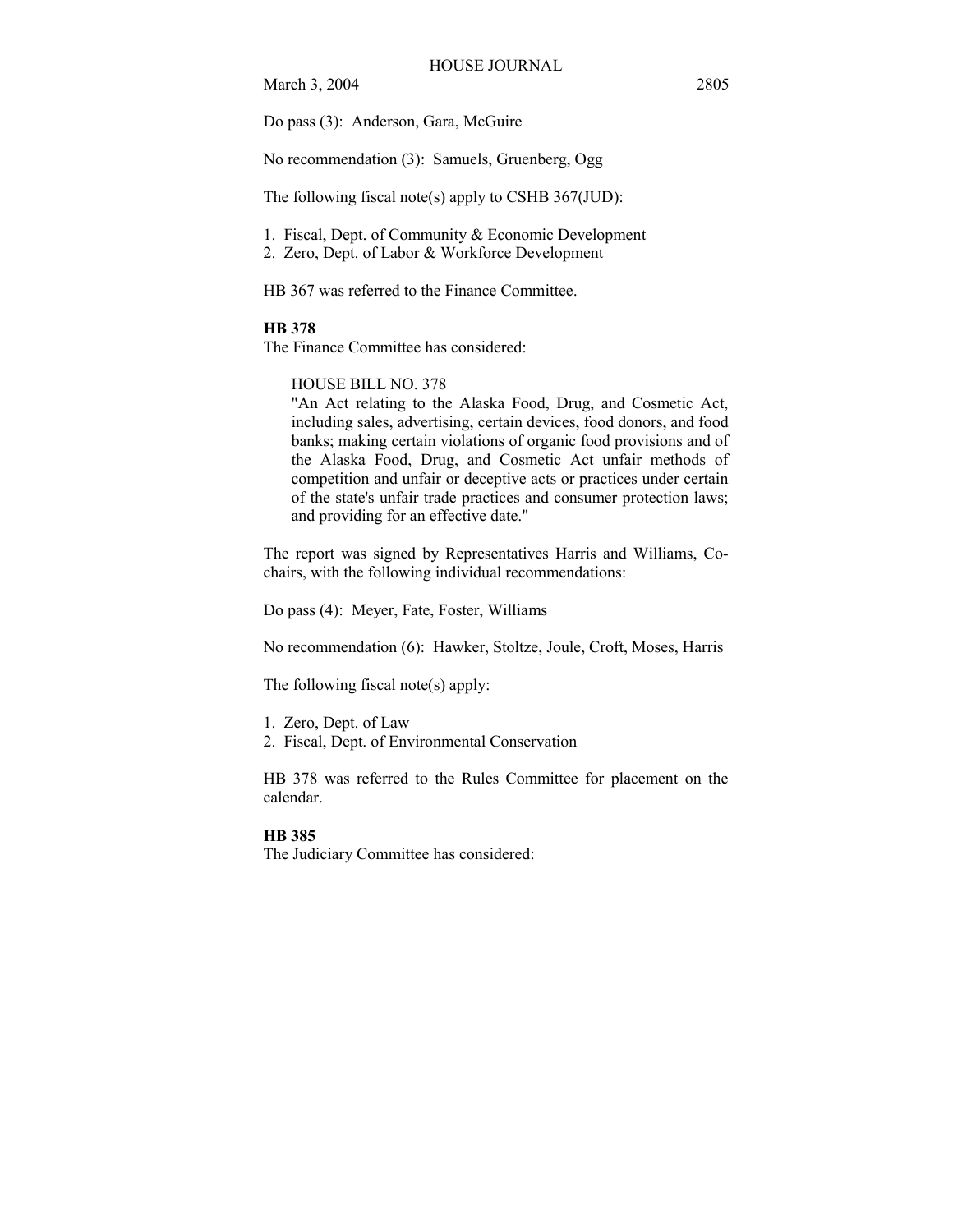Do pass (3): Anderson, Gara, McGuire

No recommendation (3): Samuels, Gruenberg, Ogg

The following fiscal note(s) apply to CSHB 367(JUD):

1. Fiscal, Dept. of Community & Economic Development

2. Zero, Dept. of Labor & Workforce Development

HB 367 was referred to the Finance Committee.

#### **HB 378**

The Finance Committee has considered:

## HOUSE BILL NO. 378

"An Act relating to the Alaska Food, Drug, and Cosmetic Act, including sales, advertising, certain devices, food donors, and food banks; making certain violations of organic food provisions and of the Alaska Food, Drug, and Cosmetic Act unfair methods of competition and unfair or deceptive acts or practices under certain of the state's unfair trade practices and consumer protection laws; and providing for an effective date."

The report was signed by Representatives Harris and Williams, Cochairs, with the following individual recommendations:

Do pass (4): Meyer, Fate, Foster, Williams

No recommendation (6): Hawker, Stoltze, Joule, Croft, Moses, Harris

The following fiscal note(s) apply:

- 1. Zero, Dept. of Law
- 2. Fiscal, Dept. of Environmental Conservation

HB 378 was referred to the Rules Committee for placement on the calendar.

## **HB 385**

The Judiciary Committee has considered: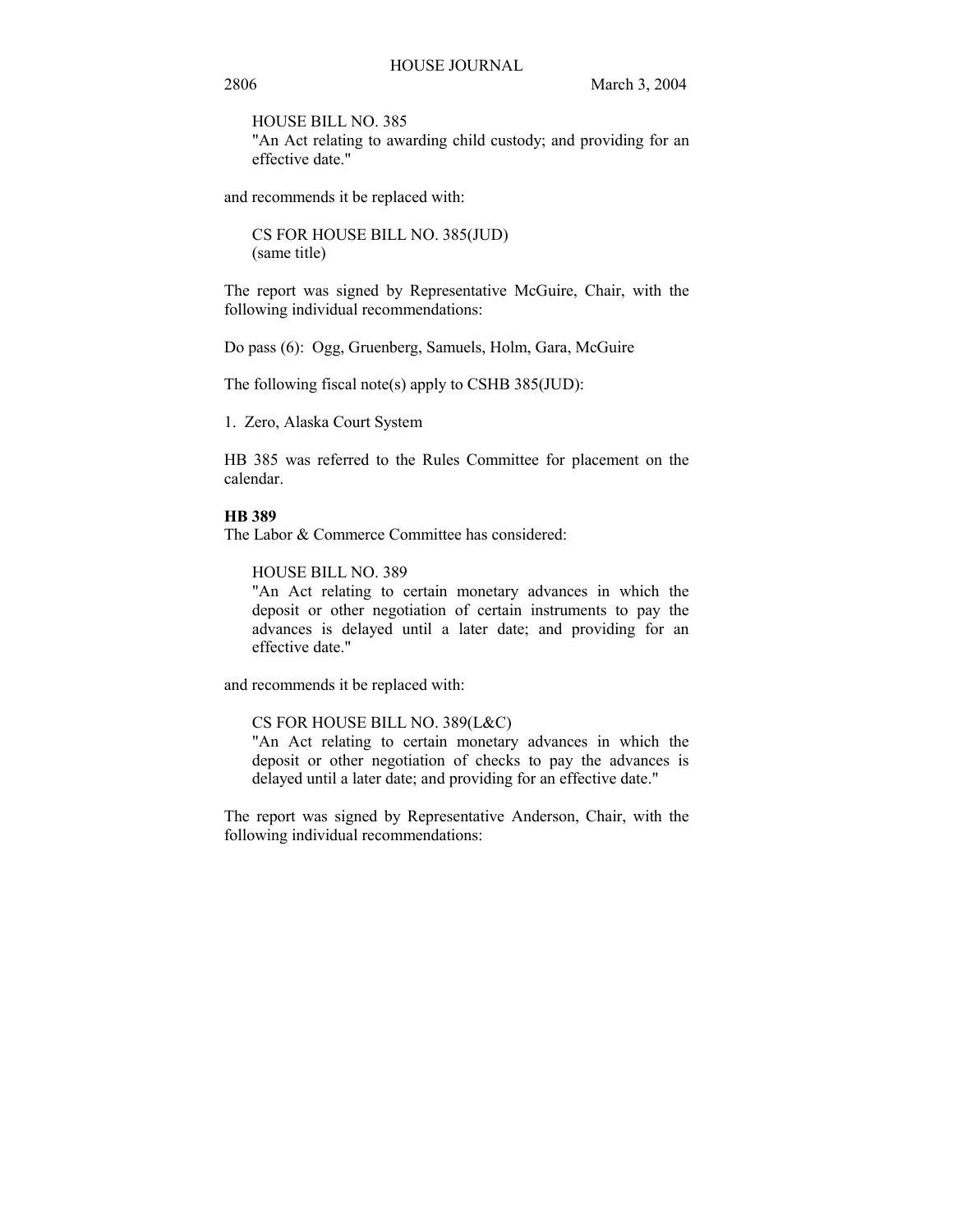HOUSE BILL NO. 385

"An Act relating to awarding child custody; and providing for an effective date."

and recommends it be replaced with:

CS FOR HOUSE BILL NO. 385(JUD) (same title)

The report was signed by Representative McGuire, Chair, with the following individual recommendations:

Do pass (6): Ogg, Gruenberg, Samuels, Holm, Gara, McGuire

The following fiscal note(s) apply to CSHB 385(JUD):

1. Zero, Alaska Court System

HB 385 was referred to the Rules Committee for placement on the calendar.

# **HB 389**

The Labor & Commerce Committee has considered:

HOUSE BILL NO. 389

"An Act relating to certain monetary advances in which the deposit or other negotiation of certain instruments to pay the advances is delayed until a later date; and providing for an effective date."

and recommends it be replaced with:

## CS FOR HOUSE BILL NO. 389(L&C)

"An Act relating to certain monetary advances in which the deposit or other negotiation of checks to pay the advances is delayed until a later date; and providing for an effective date."

The report was signed by Representative Anderson, Chair, with the following individual recommendations: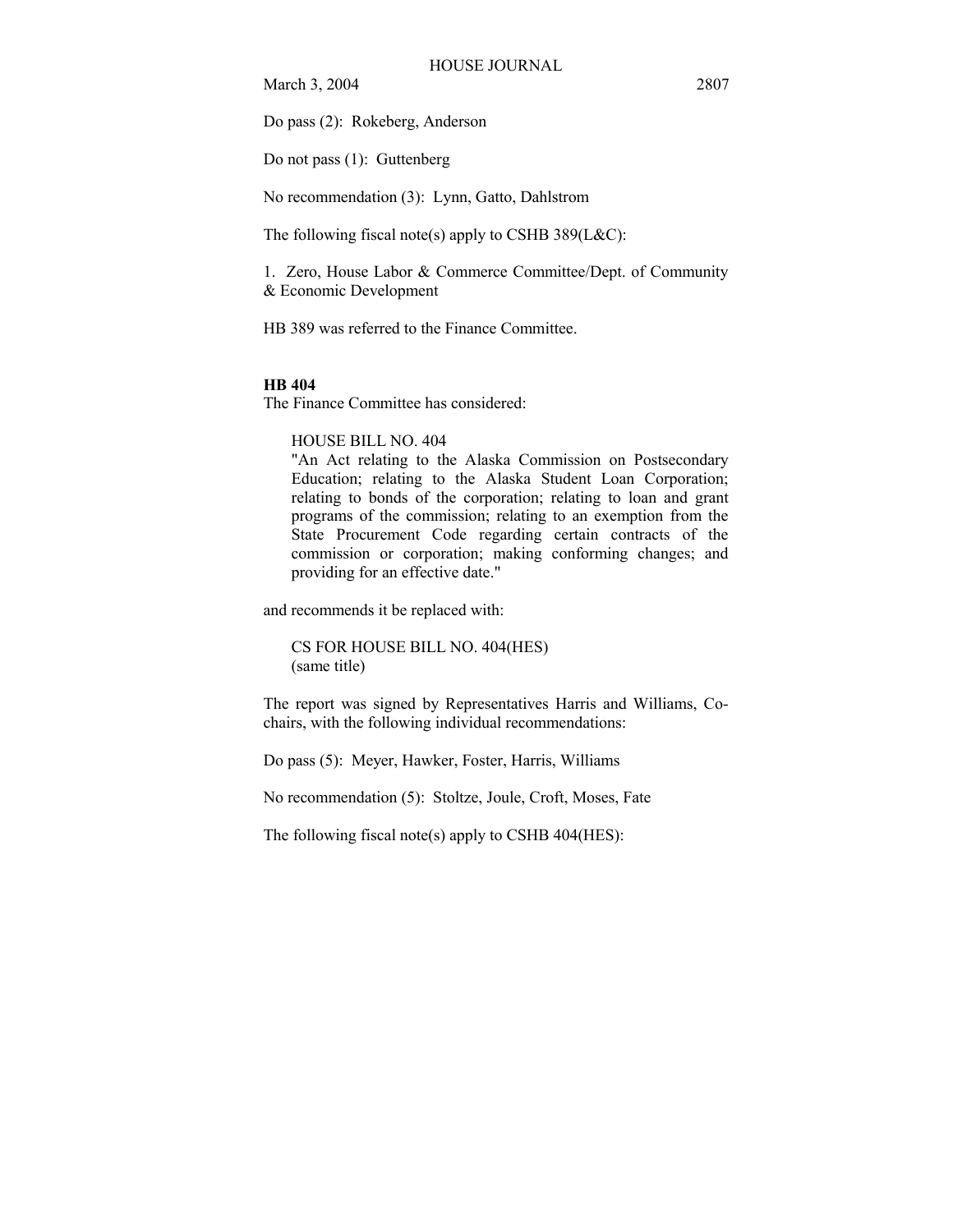Do pass (2): Rokeberg, Anderson

Do not pass (1): Guttenberg

No recommendation (3): Lynn, Gatto, Dahlstrom

The following fiscal note(s) apply to CSHB  $389(L&C)$ :

1. Zero, House Labor & Commerce Committee/Dept. of Community & Economic Development

HB 389 was referred to the Finance Committee.

#### **HB 404**

The Finance Committee has considered:

#### HOUSE BILL NO. 404

"An Act relating to the Alaska Commission on Postsecondary Education; relating to the Alaska Student Loan Corporation; relating to bonds of the corporation; relating to loan and grant programs of the commission; relating to an exemption from the State Procurement Code regarding certain contracts of the commission or corporation; making conforming changes; and providing for an effective date."

and recommends it be replaced with:

CS FOR HOUSE BILL NO. 404(HES) (same title)

The report was signed by Representatives Harris and Williams, Cochairs, with the following individual recommendations:

Do pass (5): Meyer, Hawker, Foster, Harris, Williams

No recommendation (5): Stoltze, Joule, Croft, Moses, Fate

The following fiscal note(s) apply to CSHB 404(HES):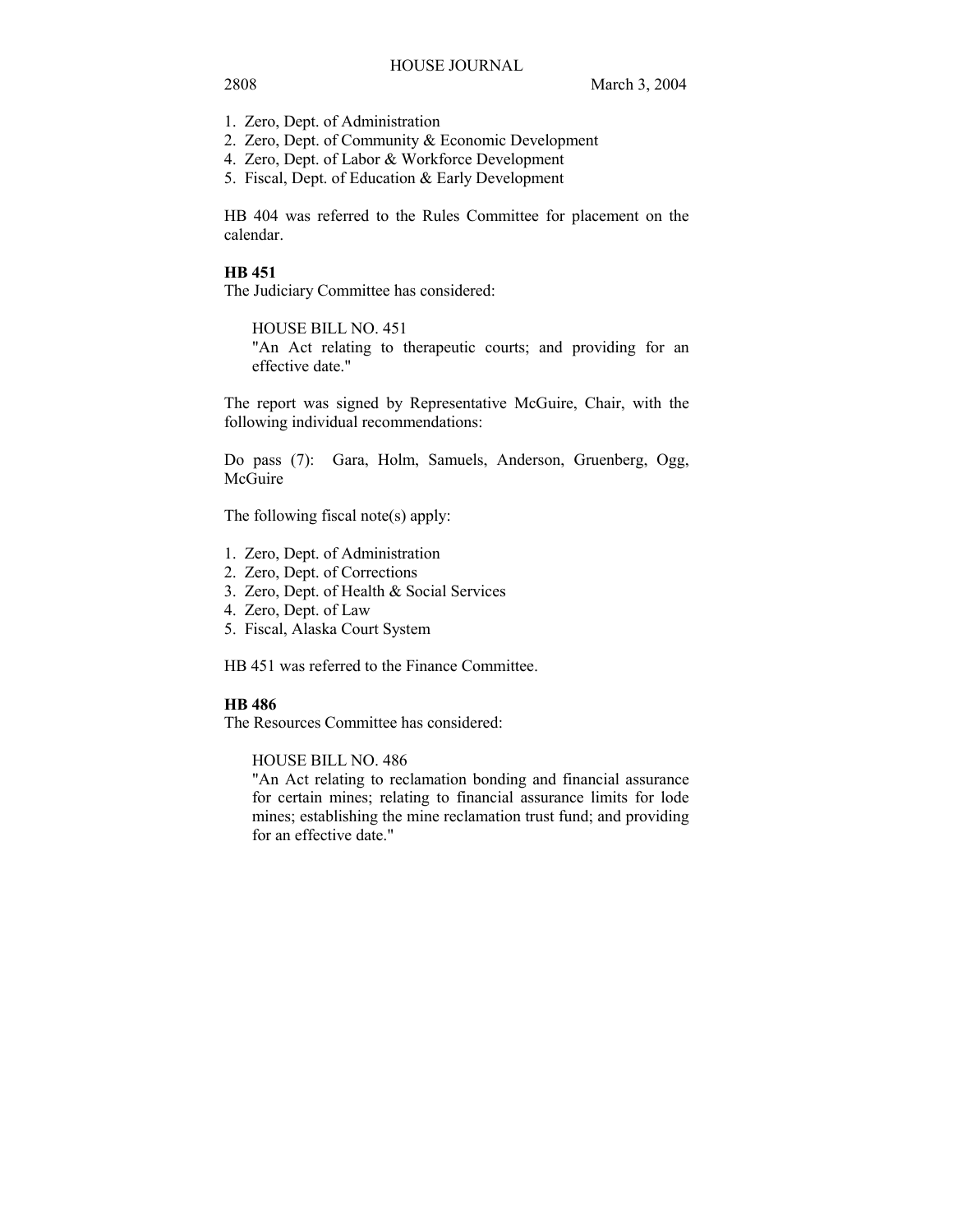- 1. Zero, Dept. of Administration
- 2. Zero, Dept. of Community & Economic Development
- 4. Zero, Dept. of Labor & Workforce Development
- 5. Fiscal, Dept. of Education & Early Development

HB 404 was referred to the Rules Committee for placement on the calendar.

#### **HB 451**

The Judiciary Committee has considered:

HOUSE BILL NO. 451

"An Act relating to therapeutic courts; and providing for an effective date."

The report was signed by Representative McGuire, Chair, with the following individual recommendations:

Do pass (7): Gara, Holm, Samuels, Anderson, Gruenberg, Ogg, McGuire

The following fiscal note(s) apply:

- 1. Zero, Dept. of Administration
- 2. Zero, Dept. of Corrections
- 3. Zero, Dept. of Health & Social Services
- 4. Zero, Dept. of Law
- 5. Fiscal, Alaska Court System

HB 451 was referred to the Finance Committee.

## **HB 486**

The Resources Committee has considered:

HOUSE BILL NO. 486

"An Act relating to reclamation bonding and financial assurance for certain mines; relating to financial assurance limits for lode mines; establishing the mine reclamation trust fund; and providing for an effective date."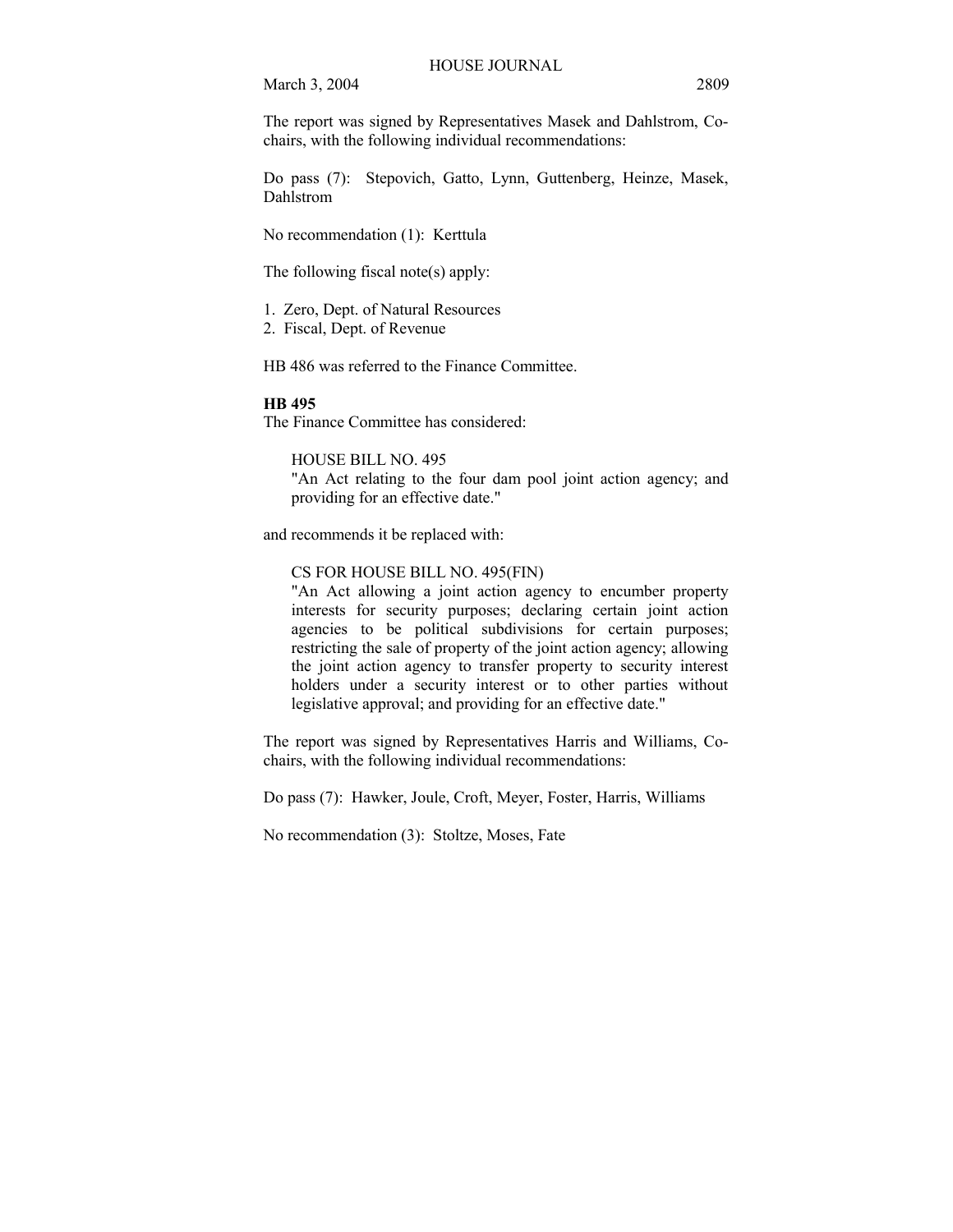The report was signed by Representatives Masek and Dahlstrom, Cochairs, with the following individual recommendations:

Do pass (7): Stepovich, Gatto, Lynn, Guttenberg, Heinze, Masek, Dahlstrom

No recommendation (1): Kerttula

The following fiscal note(s) apply:

1. Zero, Dept. of Natural Resources

2. Fiscal, Dept. of Revenue

HB 486 was referred to the Finance Committee.

#### **HB 495**

The Finance Committee has considered:

HOUSE BILL NO. 495

"An Act relating to the four dam pool joint action agency; and providing for an effective date."

and recommends it be replaced with:

CS FOR HOUSE BILL NO. 495(FIN)

"An Act allowing a joint action agency to encumber property interests for security purposes; declaring certain joint action agencies to be political subdivisions for certain purposes; restricting the sale of property of the joint action agency; allowing the joint action agency to transfer property to security interest holders under a security interest or to other parties without legislative approval; and providing for an effective date."

The report was signed by Representatives Harris and Williams, Cochairs, with the following individual recommendations:

Do pass (7): Hawker, Joule, Croft, Meyer, Foster, Harris, Williams

No recommendation (3): Stoltze, Moses, Fate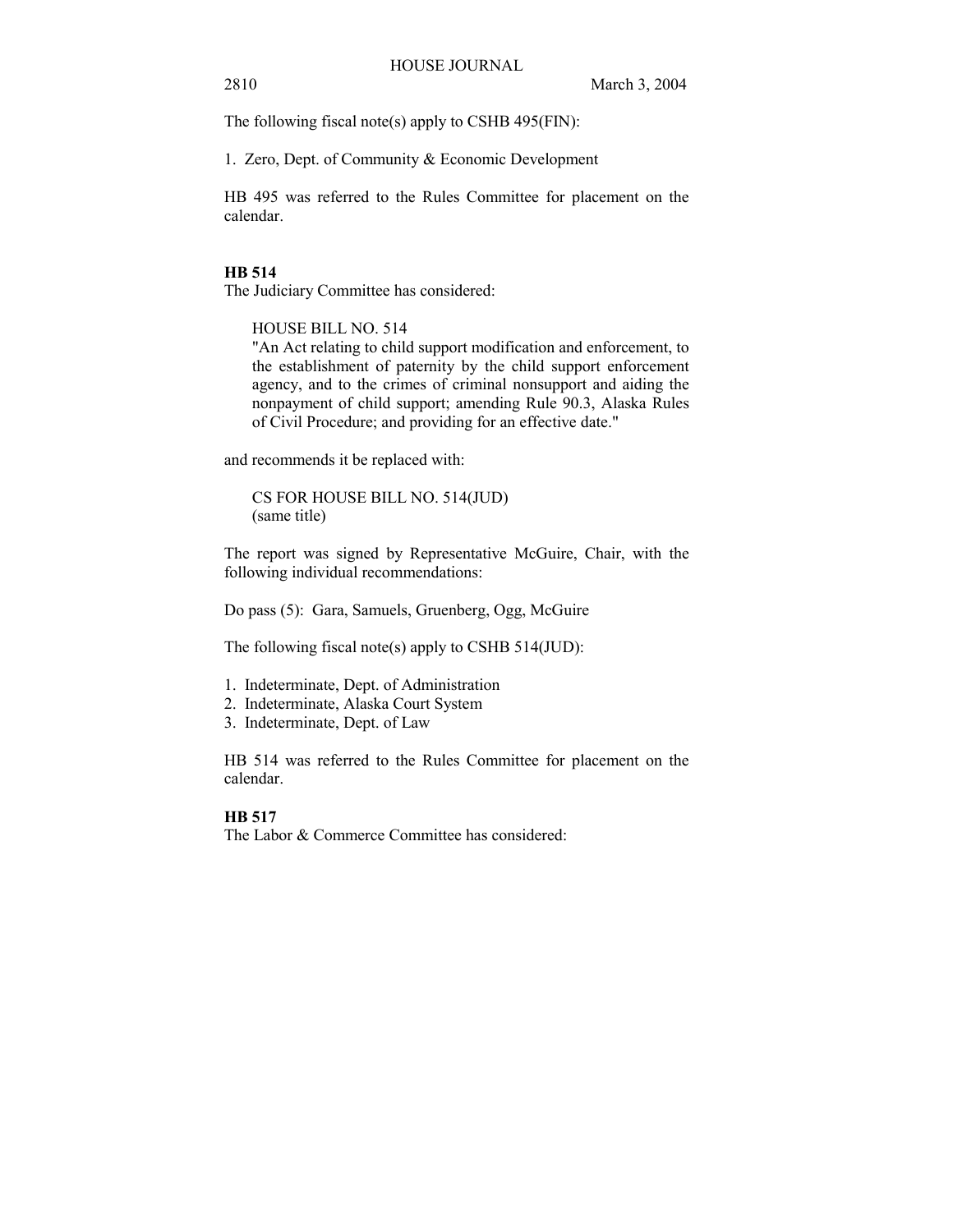The following fiscal note(s) apply to CSHB 495(FIN):

1. Zero, Dept. of Community & Economic Development

HB 495 was referred to the Rules Committee for placement on the calendar.

#### **HB 514**

The Judiciary Committee has considered:

HOUSE BILL NO. 514

"An Act relating to child support modification and enforcement, to the establishment of paternity by the child support enforcement agency, and to the crimes of criminal nonsupport and aiding the nonpayment of child support; amending Rule 90.3, Alaska Rules of Civil Procedure; and providing for an effective date."

and recommends it be replaced with:

CS FOR HOUSE BILL NO. 514(JUD) (same title)

The report was signed by Representative McGuire, Chair, with the following individual recommendations:

Do pass (5): Gara, Samuels, Gruenberg, Ogg, McGuire

The following fiscal note(s) apply to CSHB  $514$ (JUD):

- 1. Indeterminate, Dept. of Administration
- 2. Indeterminate, Alaska Court System
- 3. Indeterminate, Dept. of Law

HB 514 was referred to the Rules Committee for placement on the calendar.

## **HB 517**

The Labor & Commerce Committee has considered: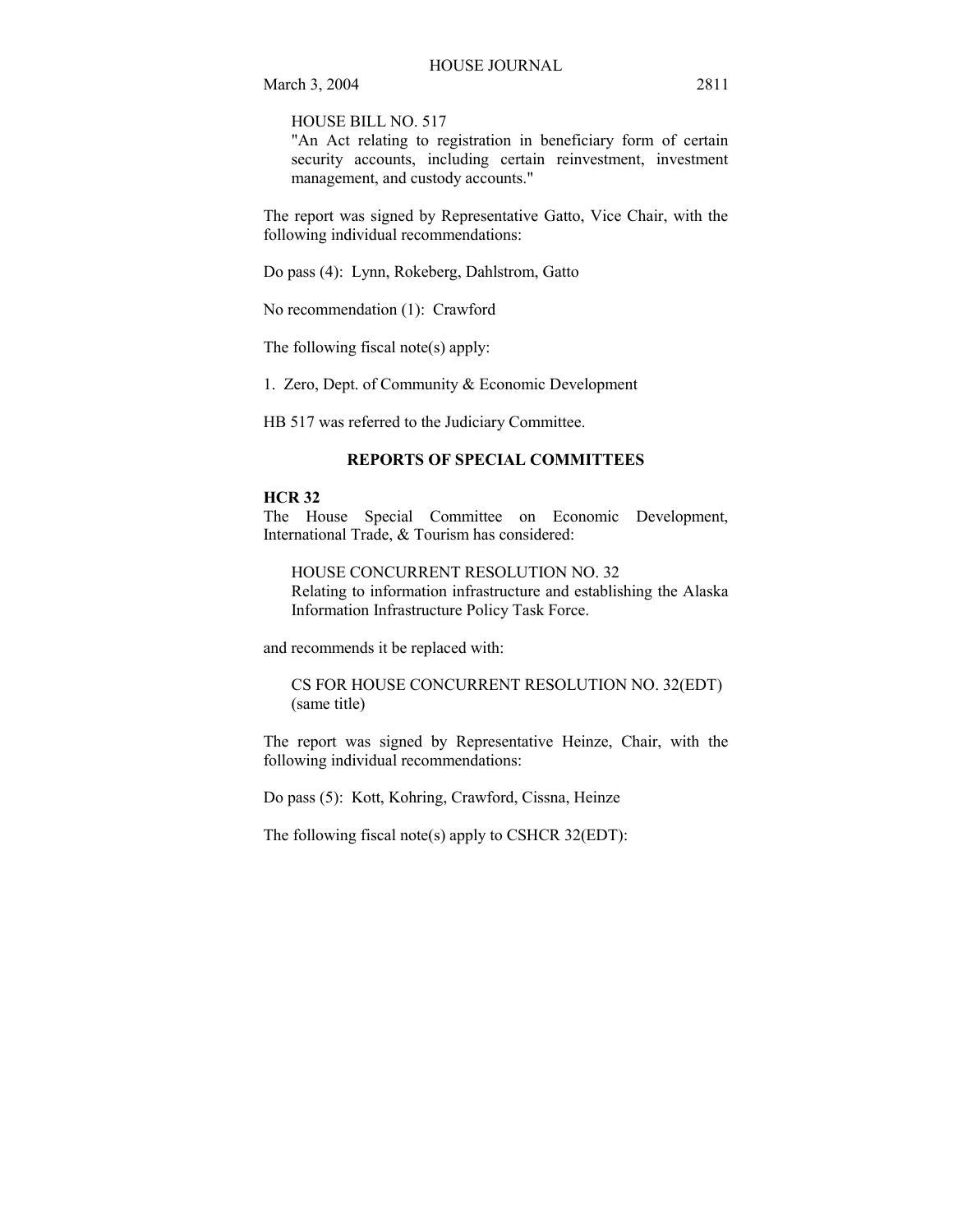HOUSE BILL NO. 517

"An Act relating to registration in beneficiary form of certain security accounts, including certain reinvestment, investment management, and custody accounts."

The report was signed by Representative Gatto, Vice Chair, with the following individual recommendations:

Do pass (4): Lynn, Rokeberg, Dahlstrom, Gatto

No recommendation (1): Crawford

The following fiscal note(s) apply:

1. Zero, Dept. of Community & Economic Development

HB 517 was referred to the Judiciary Committee.

#### **REPORTS OF SPECIAL COMMITTEES**

## **HCR 32**

The House Special Committee on Economic Development, International Trade, & Tourism has considered:

HOUSE CONCURRENT RESOLUTION NO. 32 Relating to information infrastructure and establishing the Alaska Information Infrastructure Policy Task Force.

and recommends it be replaced with:

CS FOR HOUSE CONCURRENT RESOLUTION NO. 32(EDT) (same title)

The report was signed by Representative Heinze, Chair, with the following individual recommendations:

Do pass (5): Kott, Kohring, Crawford, Cissna, Heinze

The following fiscal note(s) apply to CSHCR 32(EDT):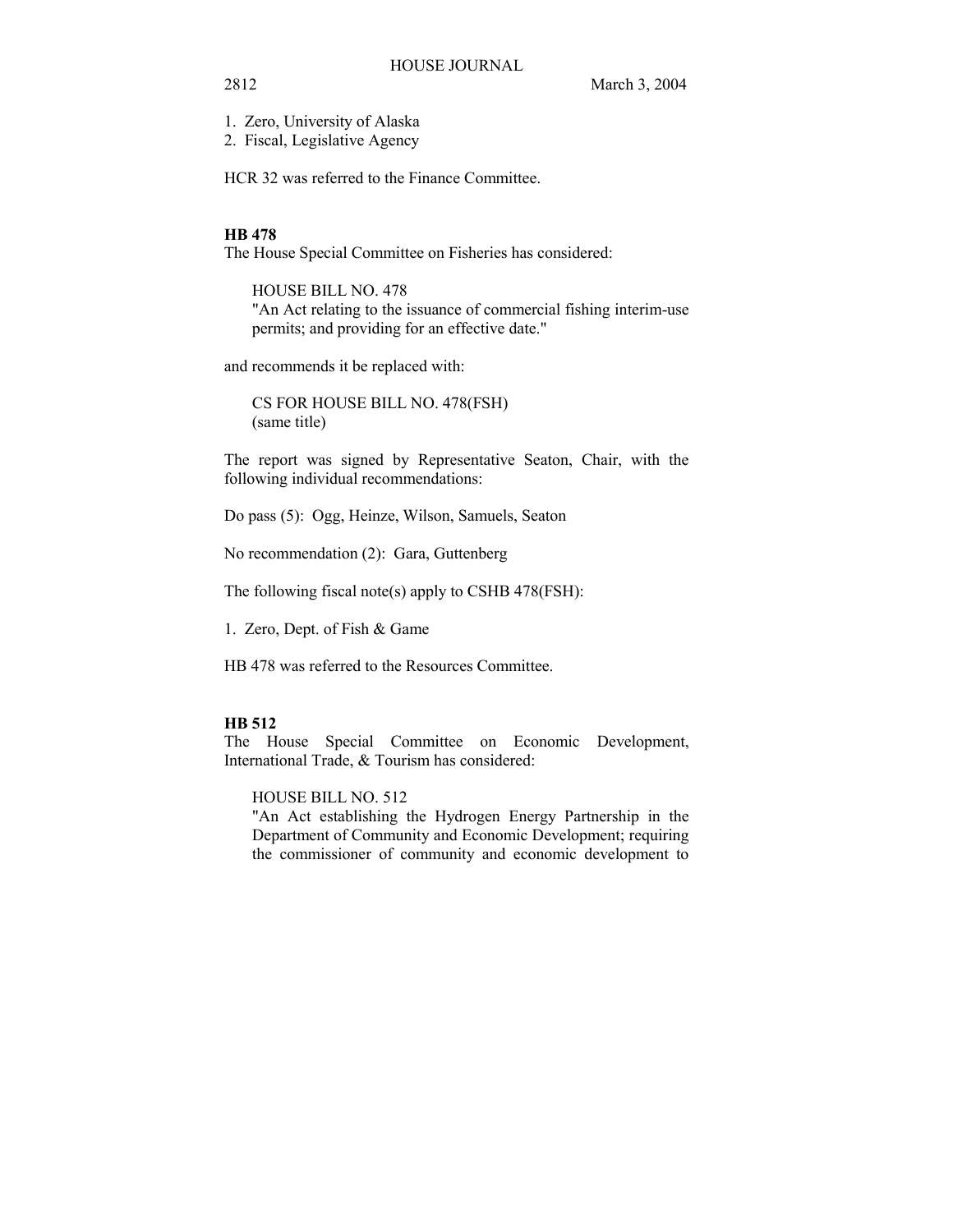1. Zero, University of Alaska

2. Fiscal, Legislative Agency

HCR 32 was referred to the Finance Committee.

#### **HB 478**

The House Special Committee on Fisheries has considered:

HOUSE BILL NO. 478 "An Act relating to the issuance of commercial fishing interim-use permits; and providing for an effective date."

and recommends it be replaced with:

CS FOR HOUSE BILL NO. 478(FSH) (same title)

The report was signed by Representative Seaton, Chair, with the following individual recommendations:

Do pass (5): Ogg, Heinze, Wilson, Samuels, Seaton

No recommendation (2): Gara, Guttenberg

The following fiscal note(s) apply to CSHB 478(FSH):

1. Zero, Dept. of Fish & Game

HB 478 was referred to the Resources Committee.

## **HB 512**

The House Special Committee on Economic Development, International Trade, & Tourism has considered:

HOUSE BILL NO. 512

"An Act establishing the Hydrogen Energy Partnership in the Department of Community and Economic Development; requiring the commissioner of community and economic development to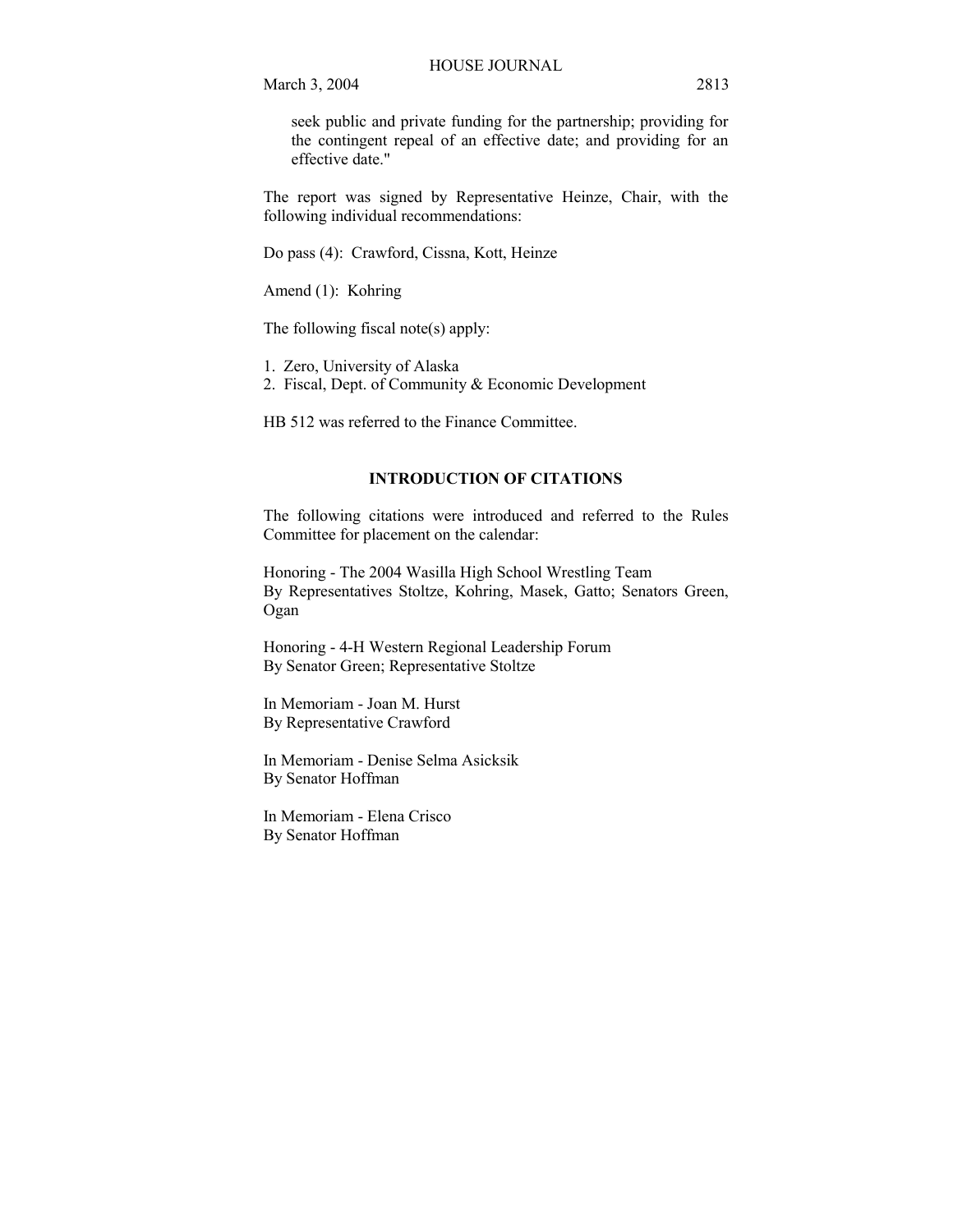seek public and private funding for the partnership; providing for the contingent repeal of an effective date; and providing for an effective date."

The report was signed by Representative Heinze, Chair, with the following individual recommendations:

Do pass (4): Crawford, Cissna, Kott, Heinze

Amend (1): Kohring

The following fiscal note(s) apply:

1. Zero, University of Alaska

2. Fiscal, Dept. of Community & Economic Development

HB 512 was referred to the Finance Committee.

## **INTRODUCTION OF CITATIONS**

The following citations were introduced and referred to the Rules Committee for placement on the calendar:

Honoring - The 2004 Wasilla High School Wrestling Team By Representatives Stoltze, Kohring, Masek, Gatto; Senators Green, Ogan

Honoring - 4-H Western Regional Leadership Forum By Senator Green; Representative Stoltze

In Memoriam - Joan M. Hurst By Representative Crawford

In Memoriam - Denise Selma Asicksik By Senator Hoffman

In Memoriam - Elena Crisco By Senator Hoffman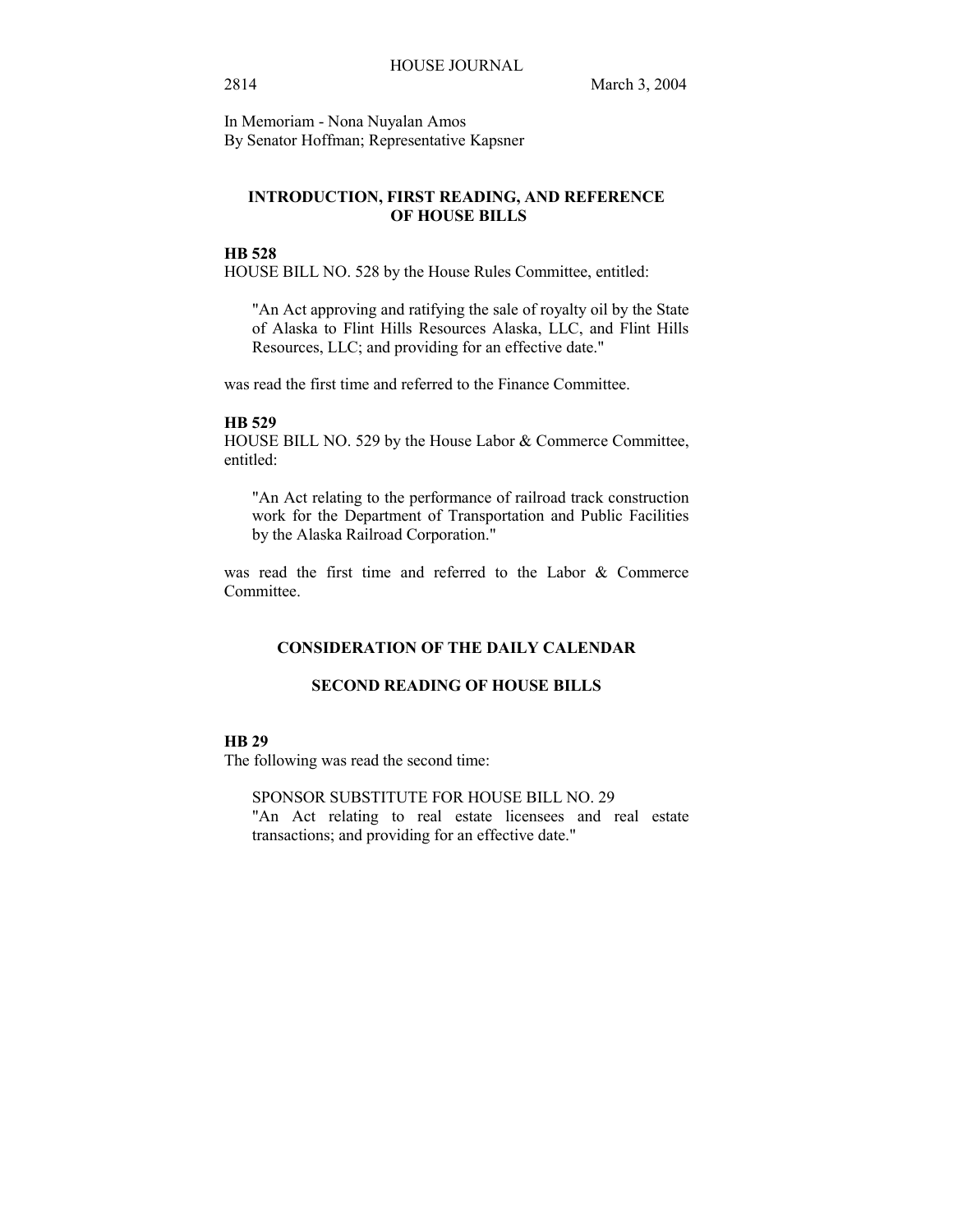In Memoriam - Nona Nuyalan Amos By Senator Hoffman; Representative Kapsner

## **INTRODUCTION, FIRST READING, AND REFERENCE OF HOUSE BILLS**

## **HB 528**

HOUSE BILL NO. 528 by the House Rules Committee, entitled:

"An Act approving and ratifying the sale of royalty oil by the State of Alaska to Flint Hills Resources Alaska, LLC, and Flint Hills Resources, LLC; and providing for an effective date."

was read the first time and referred to the Finance Committee.

#### **HB 529**

HOUSE BILL NO. 529 by the House Labor & Commerce Committee, entitled:

"An Act relating to the performance of railroad track construction work for the Department of Transportation and Public Facilities by the Alaska Railroad Corporation."

was read the first time and referred to the Labor & Commerce Committee.

## **CONSIDERATION OF THE DAILY CALENDAR**

#### **SECOND READING OF HOUSE BILLS**

## **HB 29**

The following was read the second time:

SPONSOR SUBSTITUTE FOR HOUSE BILL NO. 29 "An Act relating to real estate licensees and real estate

transactions; and providing for an effective date."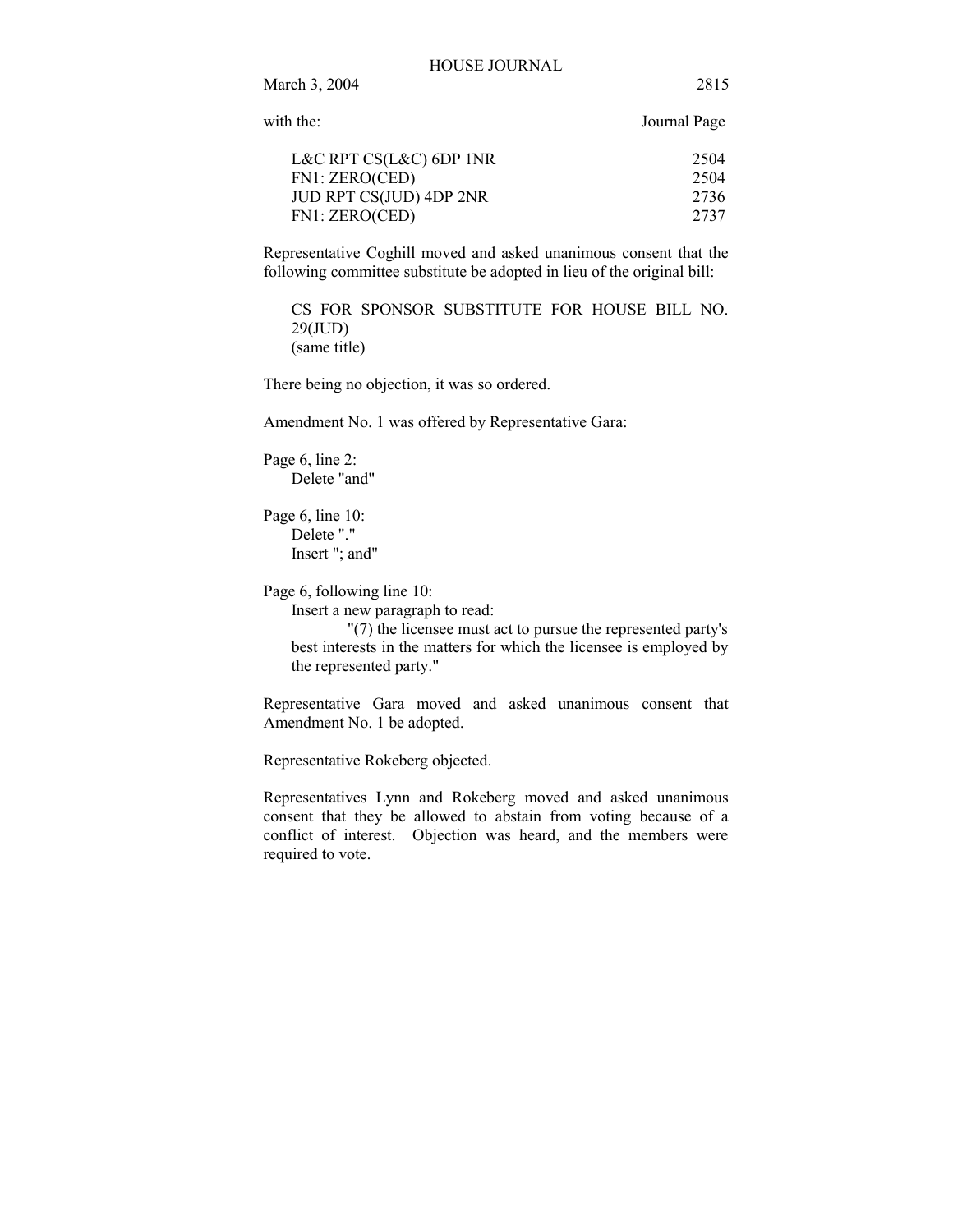| with the:               | Journal Page |
|-------------------------|--------------|
| L&C RPT CS(L&C) 6DP 1NR | 2504         |
| FN1: ZERO(CED)          | 2504         |
| JUD RPT CS(JUD) 4DP 2NR | 2736         |
| FN1: ZERO(CED)          | 2737         |

Representative Coghill moved and asked unanimous consent that the following committee substitute be adopted in lieu of the original bill:

CS FOR SPONSOR SUBSTITUTE FOR HOUSE BILL NO. 29(JUD) (same title)

There being no objection, it was so ordered.

Amendment No. 1 was offered by Representative Gara:

Page 6, line 2: Delete "and"

Page 6, line 10: Delete "." Insert "; and"

Page 6, following line 10:

Insert a new paragraph to read:

"(7) the licensee must act to pursue the represented party's best interests in the matters for which the licensee is employed by the represented party."

Representative Gara moved and asked unanimous consent that Amendment No. 1 be adopted.

Representative Rokeberg objected.

Representatives Lynn and Rokeberg moved and asked unanimous consent that they be allowed to abstain from voting because of a conflict of interest. Objection was heard, and the members were required to vote.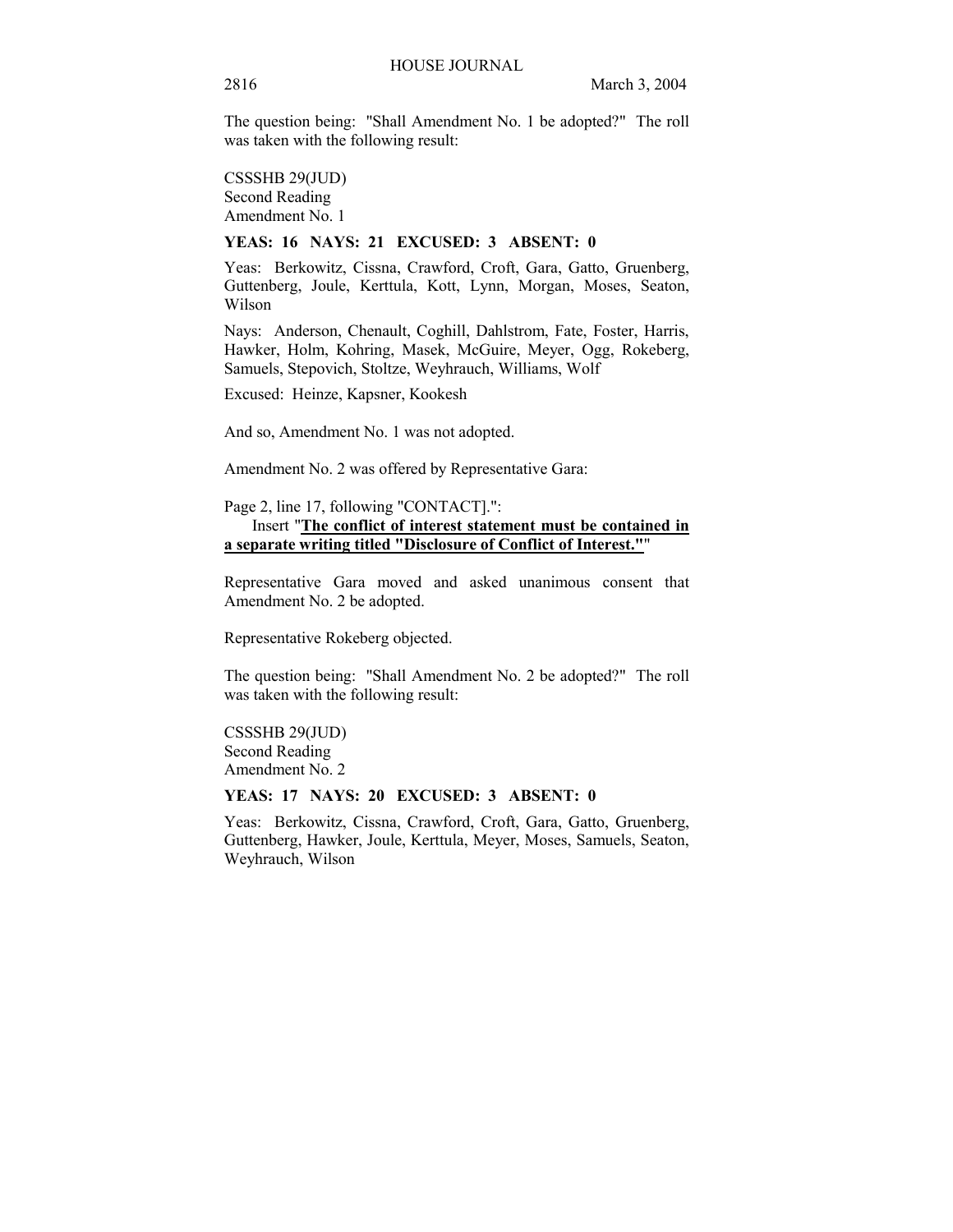The question being: "Shall Amendment No. 1 be adopted?" The roll was taken with the following result:

CSSSHB 29(JUD) Second Reading Amendment No. 1

#### **YEAS: 16 NAYS: 21 EXCUSED: 3 ABSENT: 0**

Yeas: Berkowitz, Cissna, Crawford, Croft, Gara, Gatto, Gruenberg, Guttenberg, Joule, Kerttula, Kott, Lynn, Morgan, Moses, Seaton, Wilson

Nays: Anderson, Chenault, Coghill, Dahlstrom, Fate, Foster, Harris, Hawker, Holm, Kohring, Masek, McGuire, Meyer, Ogg, Rokeberg, Samuels, Stepovich, Stoltze, Weyhrauch, Williams, Wolf

Excused: Heinze, Kapsner, Kookesh

And so, Amendment No. 1 was not adopted.

Amendment No. 2 was offered by Representative Gara:

Page 2, line 17, following "CONTACT].":

## Insert "**The conflict of interest statement must be contained in a separate writing titled "Disclosure of Conflict of Interest."**"

Representative Gara moved and asked unanimous consent that Amendment No. 2 be adopted.

Representative Rokeberg objected.

The question being: "Shall Amendment No. 2 be adopted?" The roll was taken with the following result:

CSSSHB 29(JUD) Second Reading Amendment No. 2

## **YEAS: 17 NAYS: 20 EXCUSED: 3 ABSENT: 0**

Yeas: Berkowitz, Cissna, Crawford, Croft, Gara, Gatto, Gruenberg, Guttenberg, Hawker, Joule, Kerttula, Meyer, Moses, Samuels, Seaton, Weyhrauch, Wilson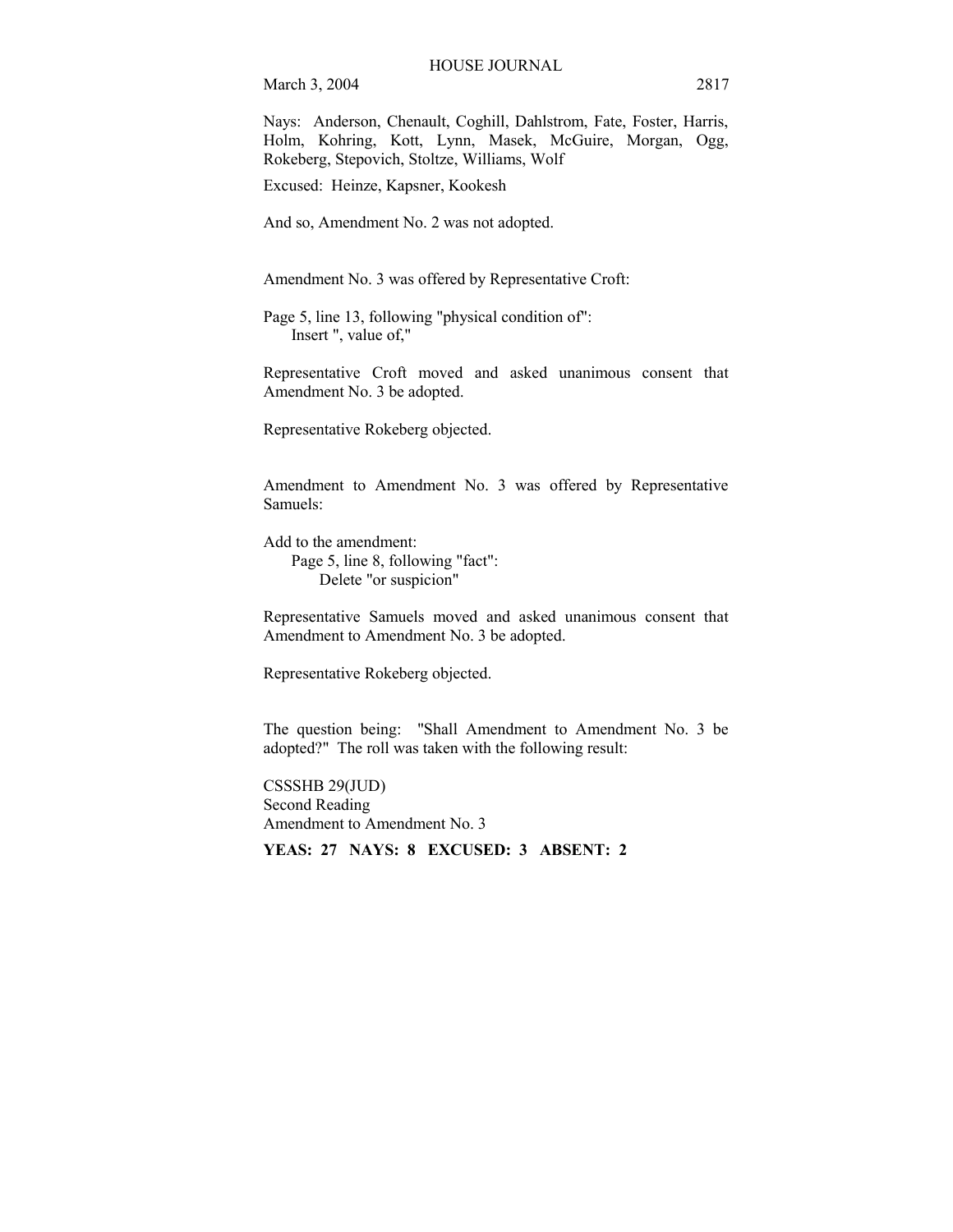Nays: Anderson, Chenault, Coghill, Dahlstrom, Fate, Foster, Harris, Holm, Kohring, Kott, Lynn, Masek, McGuire, Morgan, Ogg, Rokeberg, Stepovich, Stoltze, Williams, Wolf

Excused: Heinze, Kapsner, Kookesh

And so, Amendment No. 2 was not adopted.

Amendment No. 3 was offered by Representative Croft:

Page 5, line 13, following "physical condition of": Insert ", value of,"

Representative Croft moved and asked unanimous consent that Amendment No. 3 be adopted.

Representative Rokeberg objected.

Amendment to Amendment No. 3 was offered by Representative Samuels:

Add to the amendment: Page 5, line 8, following "fact": Delete "or suspicion"

Representative Samuels moved and asked unanimous consent that Amendment to Amendment No. 3 be adopted.

Representative Rokeberg objected.

The question being: "Shall Amendment to Amendment No. 3 be adopted?" The roll was taken with the following result:

CSSSHB 29(JUD) Second Reading Amendment to Amendment No. 3 **YEAS: 27 NAYS: 8 EXCUSED: 3 ABSENT: 2**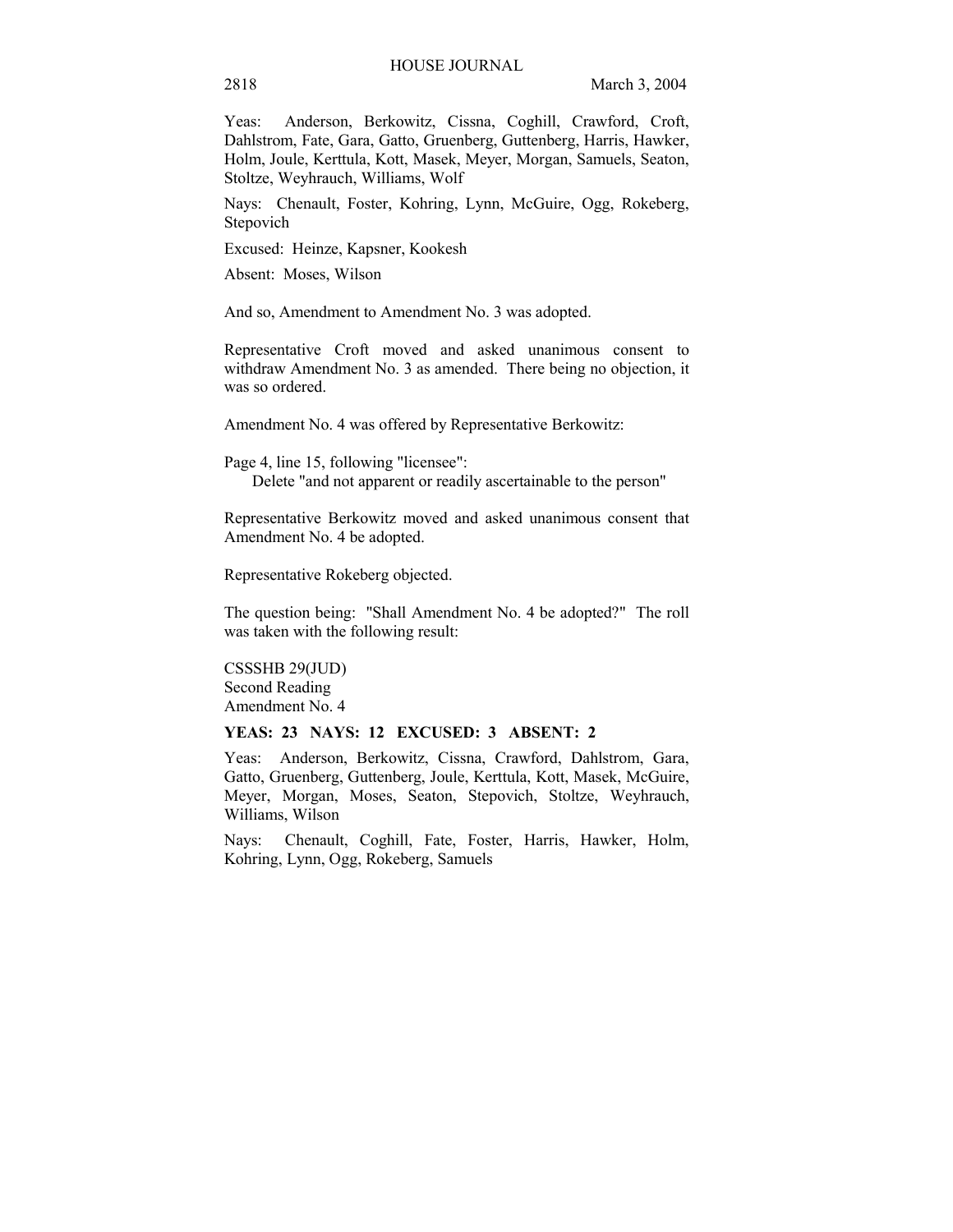Yeas: Anderson, Berkowitz, Cissna, Coghill, Crawford, Croft, Dahlstrom, Fate, Gara, Gatto, Gruenberg, Guttenberg, Harris, Hawker, Holm, Joule, Kerttula, Kott, Masek, Meyer, Morgan, Samuels, Seaton, Stoltze, Weyhrauch, Williams, Wolf

Nays: Chenault, Foster, Kohring, Lynn, McGuire, Ogg, Rokeberg, Stepovich

Excused: Heinze, Kapsner, Kookesh

Absent: Moses, Wilson

And so, Amendment to Amendment No. 3 was adopted.

Representative Croft moved and asked unanimous consent to withdraw Amendment No. 3 as amended. There being no objection, it was so ordered.

Amendment No. 4 was offered by Representative Berkowitz:

Page 4, line 15, following "licensee": Delete "and not apparent or readily ascertainable to the person"

Representative Berkowitz moved and asked unanimous consent that Amendment No. 4 be adopted.

Representative Rokeberg objected.

The question being: "Shall Amendment No. 4 be adopted?" The roll was taken with the following result:

CSSSHB 29(JUD) Second Reading Amendment No. 4

#### **YEAS: 23 NAYS: 12 EXCUSED: 3 ABSENT: 2**

Yeas: Anderson, Berkowitz, Cissna, Crawford, Dahlstrom, Gara, Gatto, Gruenberg, Guttenberg, Joule, Kerttula, Kott, Masek, McGuire, Meyer, Morgan, Moses, Seaton, Stepovich, Stoltze, Weyhrauch, Williams, Wilson

Nays: Chenault, Coghill, Fate, Foster, Harris, Hawker, Holm, Kohring, Lynn, Ogg, Rokeberg, Samuels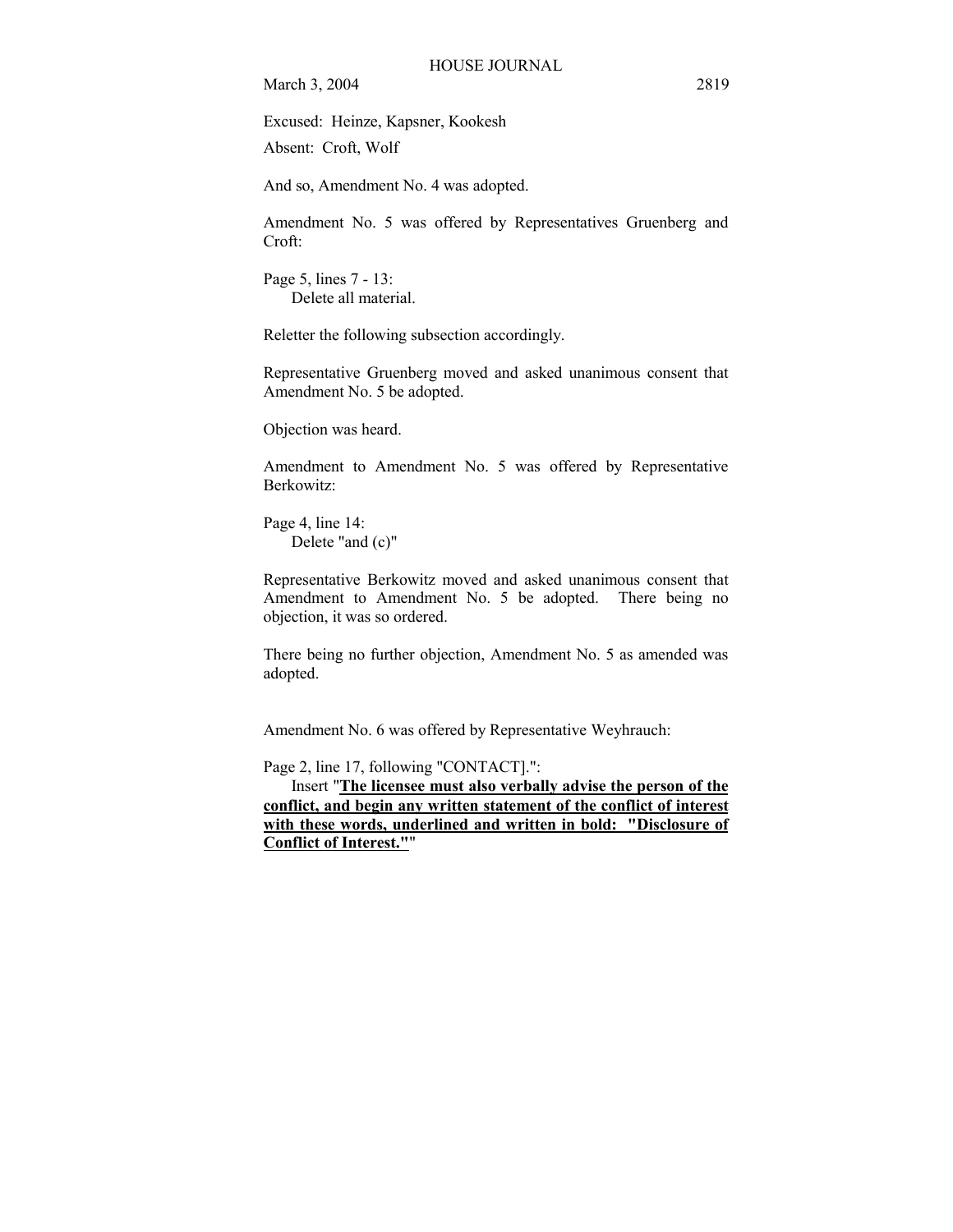Excused: Heinze, Kapsner, Kookesh Absent: Croft, Wolf

And so, Amendment No. 4 was adopted.

Amendment No. 5 was offered by Representatives Gruenberg and Croft:

Page 5, lines 7 - 13: Delete all material.

Reletter the following subsection accordingly.

Representative Gruenberg moved and asked unanimous consent that Amendment No. 5 be adopted.

Objection was heard.

Amendment to Amendment No. 5 was offered by Representative Berkowitz:

Page 4, line 14: Delete "and (c)"

Representative Berkowitz moved and asked unanimous consent that Amendment to Amendment No. 5 be adopted. There being no objection, it was so ordered.

There being no further objection, Amendment No. 5 as amended was adopted.

Amendment No. 6 was offered by Representative Weyhrauch:

Page 2, line 17, following "CONTACT].":

 Insert "**The licensee must also verbally advise the person of the conflict, and begin any written statement of the conflict of interest with these words, underlined and written in bold: "Disclosure of Conflict of Interest."**"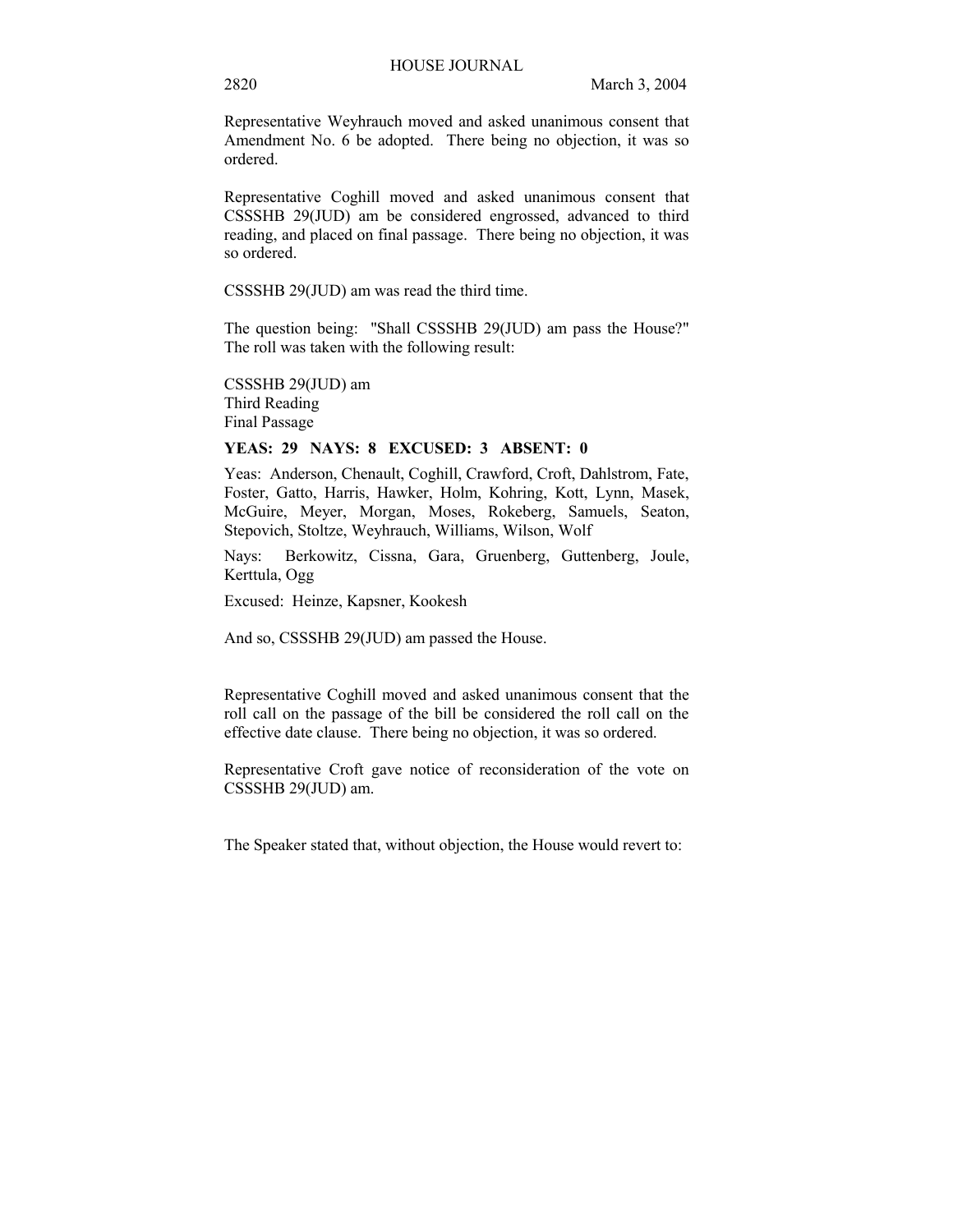Representative Weyhrauch moved and asked unanimous consent that Amendment No. 6 be adopted. There being no objection, it was so ordered.

Representative Coghill moved and asked unanimous consent that CSSSHB 29(JUD) am be considered engrossed, advanced to third reading, and placed on final passage. There being no objection, it was so ordered.

CSSSHB 29(JUD) am was read the third time.

The question being: "Shall CSSSHB 29(JUD) am pass the House?" The roll was taken with the following result:

CSSSHB 29(JUD) am Third Reading Final Passage

## **YEAS: 29 NAYS: 8 EXCUSED: 3 ABSENT: 0**

Yeas: Anderson, Chenault, Coghill, Crawford, Croft, Dahlstrom, Fate, Foster, Gatto, Harris, Hawker, Holm, Kohring, Kott, Lynn, Masek, McGuire, Meyer, Morgan, Moses, Rokeberg, Samuels, Seaton, Stepovich, Stoltze, Weyhrauch, Williams, Wilson, Wolf

Nays: Berkowitz, Cissna, Gara, Gruenberg, Guttenberg, Joule, Kerttula, Ogg

Excused: Heinze, Kapsner, Kookesh

And so, CSSSHB 29(JUD) am passed the House.

Representative Coghill moved and asked unanimous consent that the roll call on the passage of the bill be considered the roll call on the effective date clause. There being no objection, it was so ordered.

Representative Croft gave notice of reconsideration of the vote on CSSSHB 29(JUD) am.

The Speaker stated that, without objection, the House would revert to: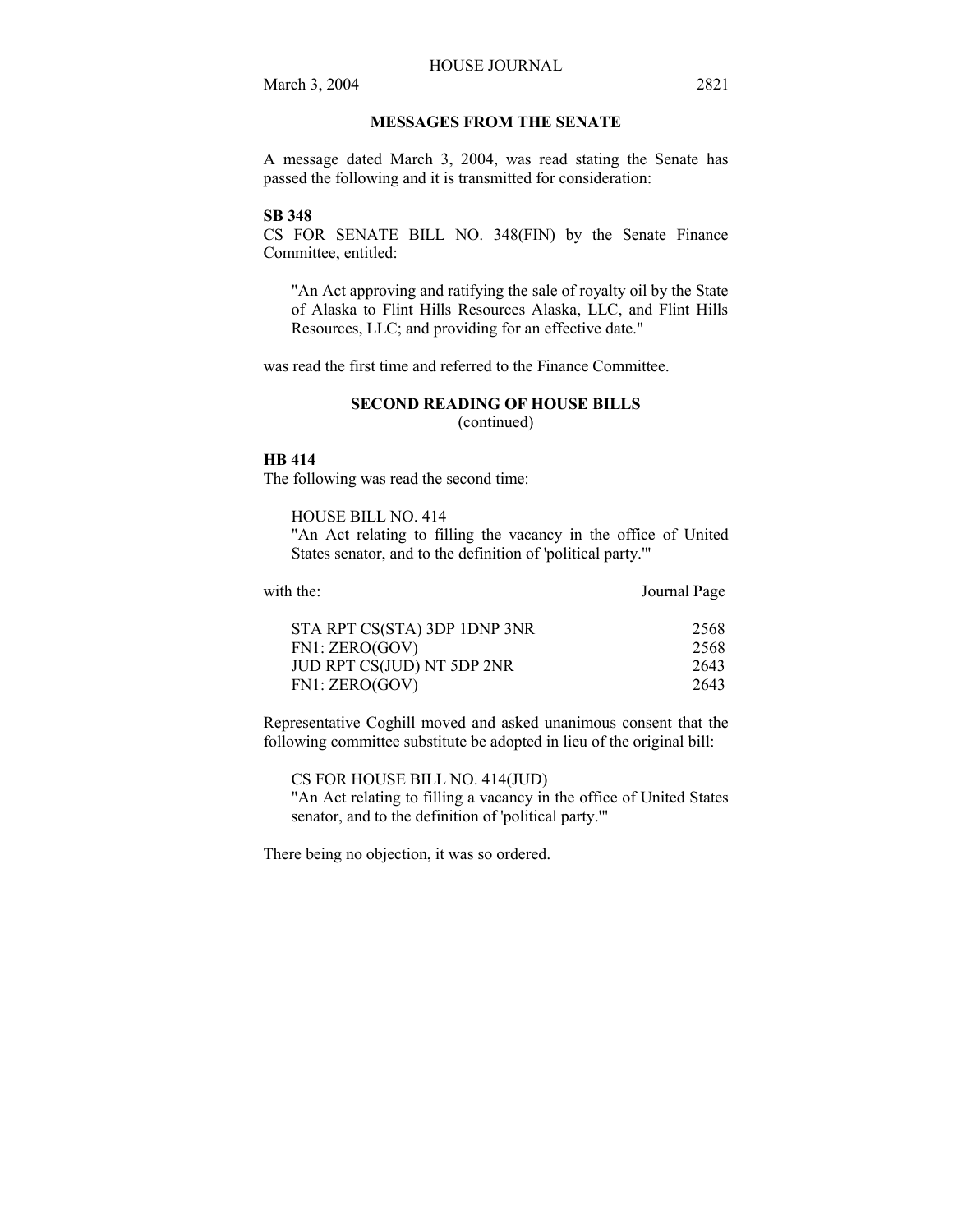## **MESSAGES FROM THE SENATE**

A message dated March 3, 2004, was read stating the Senate has passed the following and it is transmitted for consideration:

## **SB 348**

CS FOR SENATE BILL NO. 348(FIN) by the Senate Finance Committee, entitled:

"An Act approving and ratifying the sale of royalty oil by the State of Alaska to Flint Hills Resources Alaska, LLC, and Flint Hills Resources, LLC; and providing for an effective date."

was read the first time and referred to the Finance Committee.

#### **SECOND READING OF HOUSE BILLS**

(continued)

#### **HB 414**

The following was read the second time:

HOUSE BILL NO. 414 "An Act relating to filling the vacancy in the office of United

States senator, and to the definition of 'political party.'"

| with the:                    | Journal Page |
|------------------------------|--------------|
| STA RPT CS(STA) 3DP 1DNP 3NR | 2568         |
| FN1: ZERO(GOV)               | 2568         |
| JUD RPT CS(JUD) NT 5DP 2NR   | 2643         |
| FN1: ZERO(GOV)               | 2643         |

Representative Coghill moved and asked unanimous consent that the following committee substitute be adopted in lieu of the original bill:

CS FOR HOUSE BILL NO. 414(JUD) "An Act relating to filling a vacancy in the office of United States senator, and to the definition of 'political party.'"

There being no objection, it was so ordered.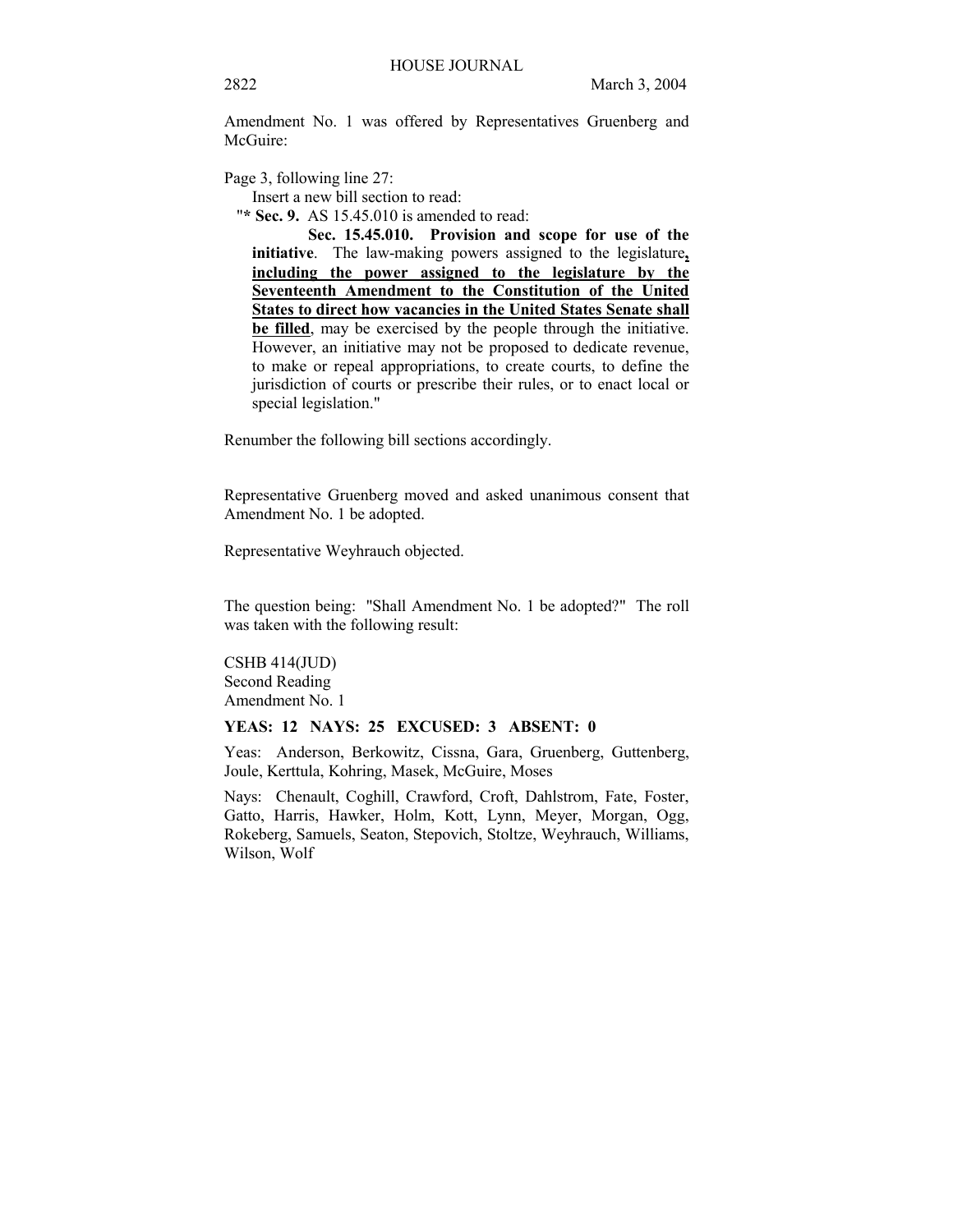Amendment No. 1 was offered by Representatives Gruenberg and McGuire:

Page 3, following line 27:

Insert a new bill section to read:

"**\* Sec. 9.** AS 15.45.010 is amended to read:

**Sec. 15.45.010. Provision and scope for use of the initiative**. The law-making powers assigned to the legislature**, including the power assigned to the legislature by the Seventeenth Amendment to the Constitution of the United States to direct how vacancies in the United States Senate shall be filled**, may be exercised by the people through the initiative. However, an initiative may not be proposed to dedicate revenue, to make or repeal appropriations, to create courts, to define the jurisdiction of courts or prescribe their rules, or to enact local or special legislation."

Renumber the following bill sections accordingly.

Representative Gruenberg moved and asked unanimous consent that Amendment No. 1 be adopted.

Representative Weyhrauch objected.

The question being: "Shall Amendment No. 1 be adopted?" The roll was taken with the following result:

CSHB 414(JUD) Second Reading Amendment No. 1

#### **YEAS: 12 NAYS: 25 EXCUSED: 3 ABSENT: 0**

Yeas: Anderson, Berkowitz, Cissna, Gara, Gruenberg, Guttenberg, Joule, Kerttula, Kohring, Masek, McGuire, Moses

Nays: Chenault, Coghill, Crawford, Croft, Dahlstrom, Fate, Foster, Gatto, Harris, Hawker, Holm, Kott, Lynn, Meyer, Morgan, Ogg, Rokeberg, Samuels, Seaton, Stepovich, Stoltze, Weyhrauch, Williams, Wilson, Wolf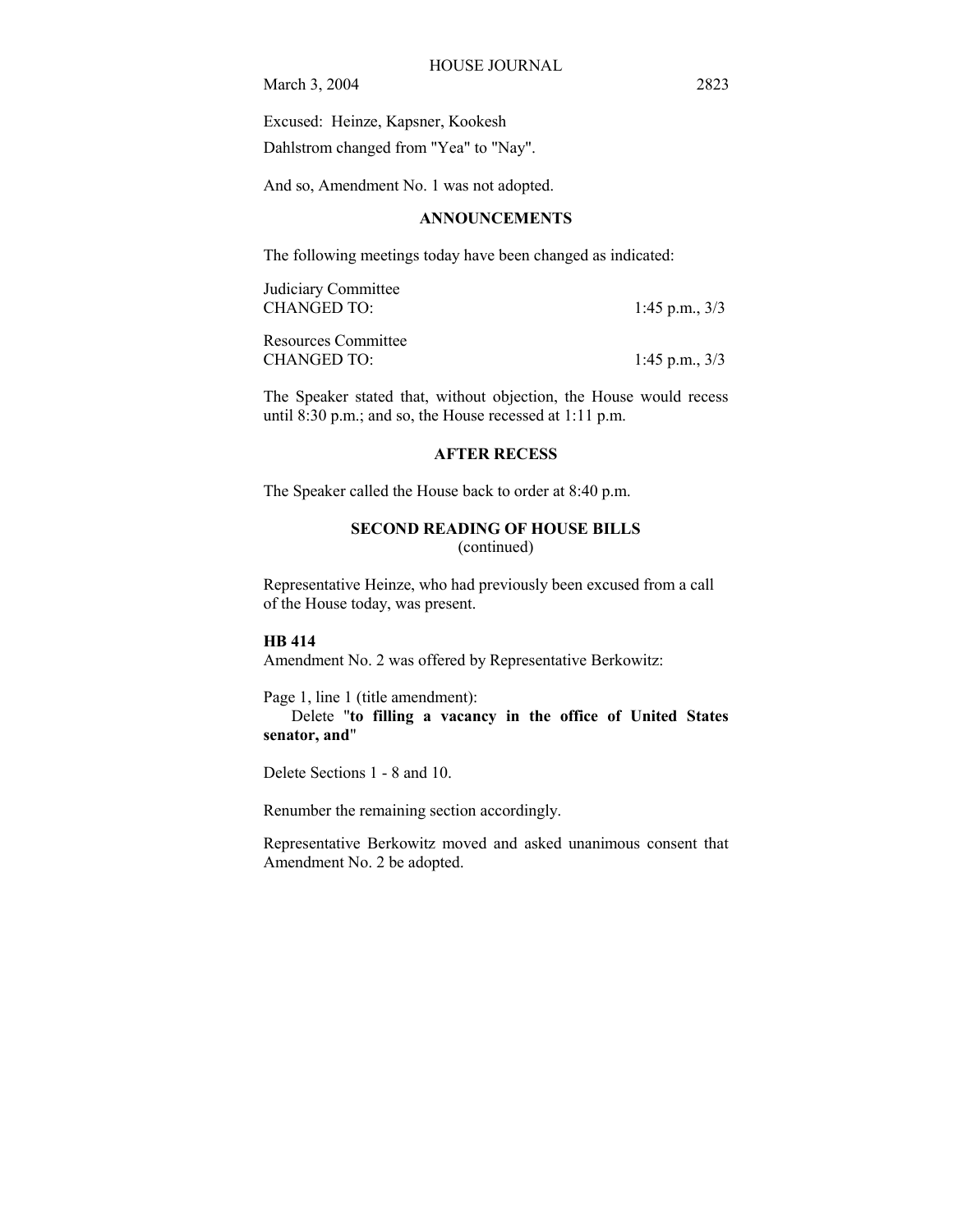Excused: Heinze, Kapsner, Kookesh Dahlstrom changed from "Yea" to "Nay".

And so, Amendment No. 1 was not adopted.

## **ANNOUNCEMENTS**

The following meetings today have been changed as indicated:

Judiciary Committee CHANGED TO: 1:45 p.m., 3/3

Resources Committee CHANGED TO: 1:45 p.m., 3/3

The Speaker stated that, without objection, the House would recess until 8:30 p.m.; and so, the House recessed at 1:11 p.m.

# **AFTER RECESS**

The Speaker called the House back to order at 8:40 p.m.

## **SECOND READING OF HOUSE BILLS**  (continued)

Representative Heinze, who had previously been excused from a call of the House today, was present.

## **HB 414**

Amendment No. 2 was offered by Representative Berkowitz:

Page 1, line 1 (title amendment): Delete "**to filling a vacancy in the office of United States senator, and**"

Delete Sections 1 - 8 and 10.

Renumber the remaining section accordingly.

Representative Berkowitz moved and asked unanimous consent that Amendment No. 2 be adopted.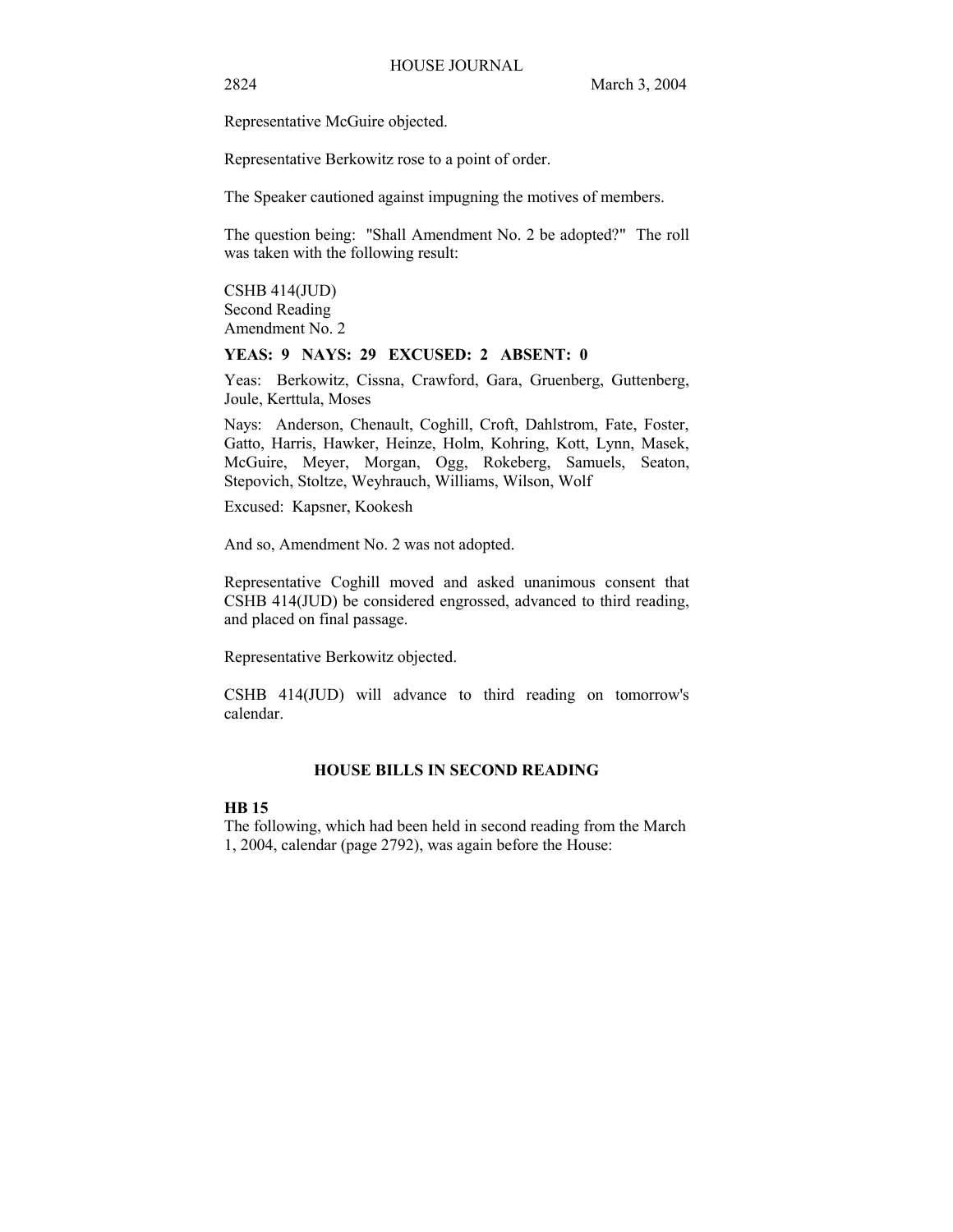Representative McGuire objected.

Representative Berkowitz rose to a point of order.

The Speaker cautioned against impugning the motives of members.

The question being: "Shall Amendment No. 2 be adopted?" The roll was taken with the following result:

CSHB 414(JUD) Second Reading Amendment No. 2

## **YEAS: 9 NAYS: 29 EXCUSED: 2 ABSENT: 0**

Yeas: Berkowitz, Cissna, Crawford, Gara, Gruenberg, Guttenberg, Joule, Kerttula, Moses

Nays: Anderson, Chenault, Coghill, Croft, Dahlstrom, Fate, Foster, Gatto, Harris, Hawker, Heinze, Holm, Kohring, Kott, Lynn, Masek, McGuire, Meyer, Morgan, Ogg, Rokeberg, Samuels, Seaton, Stepovich, Stoltze, Weyhrauch, Williams, Wilson, Wolf

Excused: Kapsner, Kookesh

And so, Amendment No. 2 was not adopted.

Representative Coghill moved and asked unanimous consent that CSHB 414(JUD) be considered engrossed, advanced to third reading, and placed on final passage.

Representative Berkowitz objected.

CSHB 414(JUD) will advance to third reading on tomorrow's calendar.

# **HOUSE BILLS IN SECOND READING**

## **HB 15**

The following, which had been held in second reading from the March 1, 2004, calendar (page 2792), was again before the House: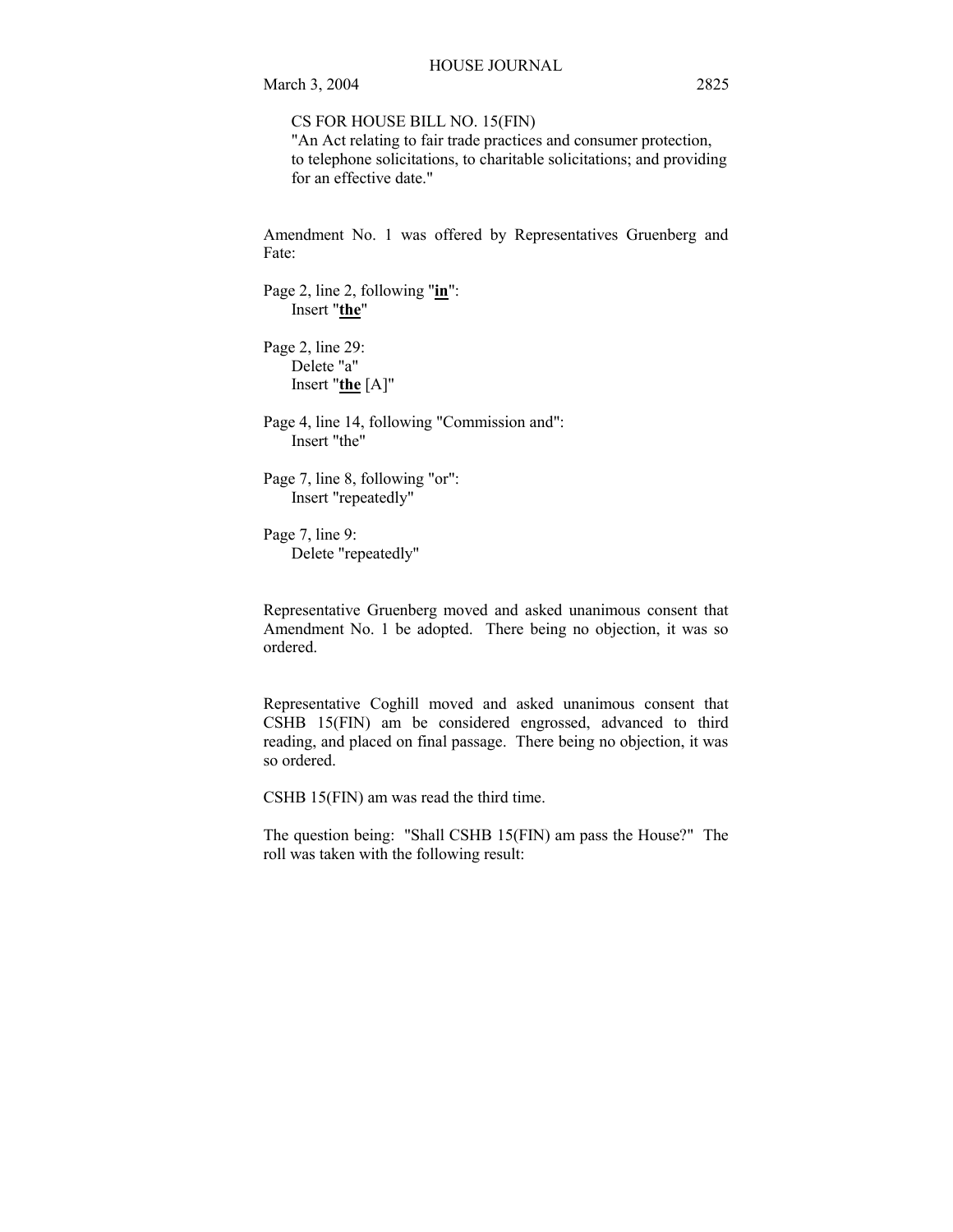CS FOR HOUSE BILL NO. 15(FIN)

"An Act relating to fair trade practices and consumer protection, to telephone solicitations, to charitable solicitations; and providing for an effective date."

Amendment No. 1 was offered by Representatives Gruenberg and Fate:

Page 2, line 2, following "**in**": Insert "**the**"

Page 2, line 29: Delete "a" Insert "**the** [A]"

Page 4, line 14, following "Commission and": Insert "the"

Page 7, line 8, following "or": Insert "repeatedly"

Page 7, line 9: Delete "repeatedly"

Representative Gruenberg moved and asked unanimous consent that Amendment No. 1 be adopted. There being no objection, it was so ordered.

Representative Coghill moved and asked unanimous consent that CSHB 15(FIN) am be considered engrossed, advanced to third reading, and placed on final passage. There being no objection, it was so ordered.

CSHB 15(FIN) am was read the third time.

The question being: "Shall CSHB 15(FIN) am pass the House?" The roll was taken with the following result: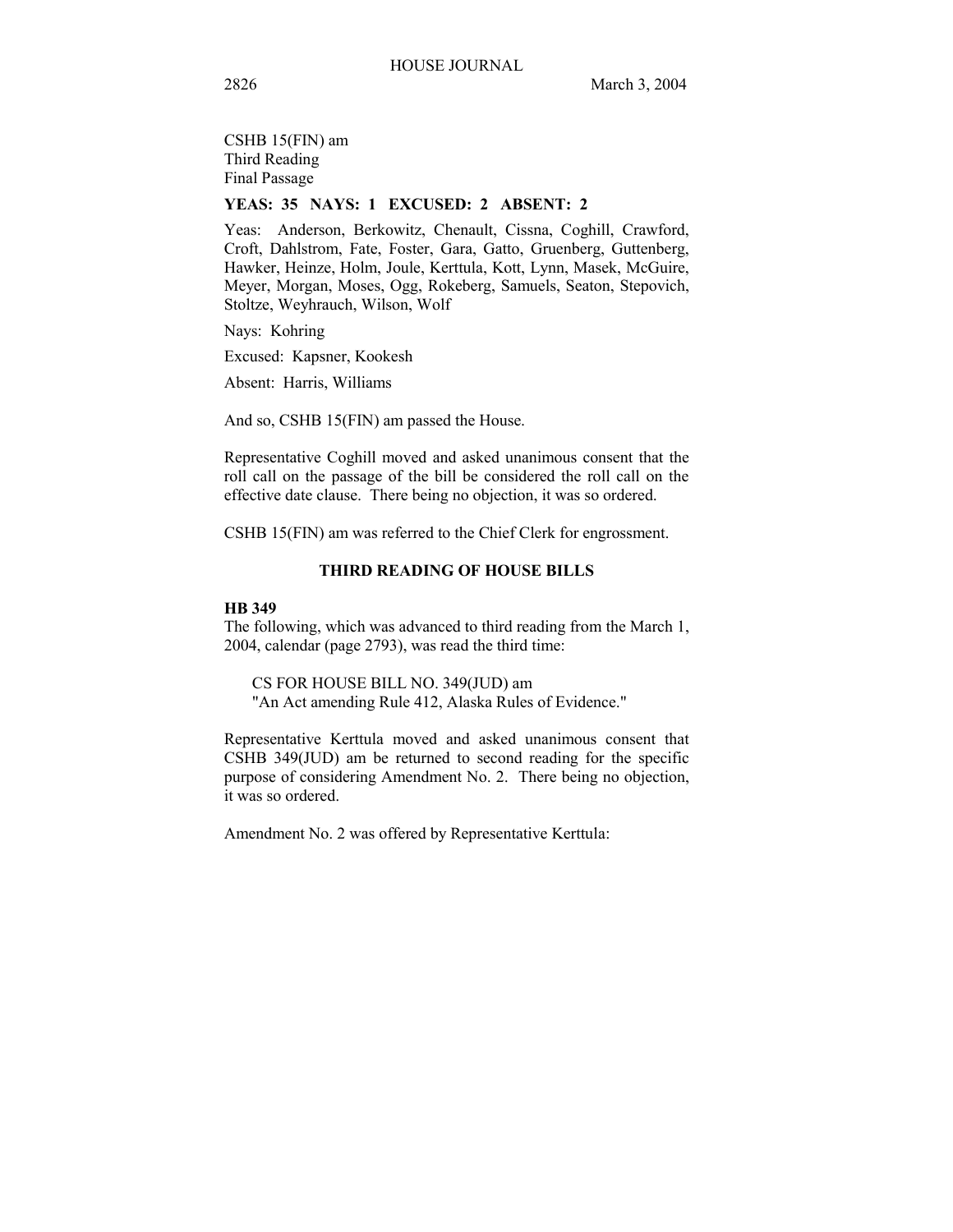CSHB 15(FIN) am Third Reading Final Passage

# **YEAS: 35 NAYS: 1 EXCUSED: 2 ABSENT: 2**

Yeas: Anderson, Berkowitz, Chenault, Cissna, Coghill, Crawford, Croft, Dahlstrom, Fate, Foster, Gara, Gatto, Gruenberg, Guttenberg, Hawker, Heinze, Holm, Joule, Kerttula, Kott, Lynn, Masek, McGuire, Meyer, Morgan, Moses, Ogg, Rokeberg, Samuels, Seaton, Stepovich, Stoltze, Weyhrauch, Wilson, Wolf

Nays: Kohring

Excused: Kapsner, Kookesh

Absent: Harris, Williams

And so, CSHB 15(FIN) am passed the House.

Representative Coghill moved and asked unanimous consent that the roll call on the passage of the bill be considered the roll call on the effective date clause. There being no objection, it was so ordered.

CSHB 15(FIN) am was referred to the Chief Clerk for engrossment.

## **THIRD READING OF HOUSE BILLS**

## **HB 349**

The following, which was advanced to third reading from the March 1, 2004, calendar (page 2793), was read the third time:

CS FOR HOUSE BILL NO. 349(JUD) am "An Act amending Rule 412, Alaska Rules of Evidence."

Representative Kerttula moved and asked unanimous consent that CSHB 349(JUD) am be returned to second reading for the specific purpose of considering Amendment No. 2. There being no objection, it was so ordered.

Amendment No. 2 was offered by Representative Kerttula: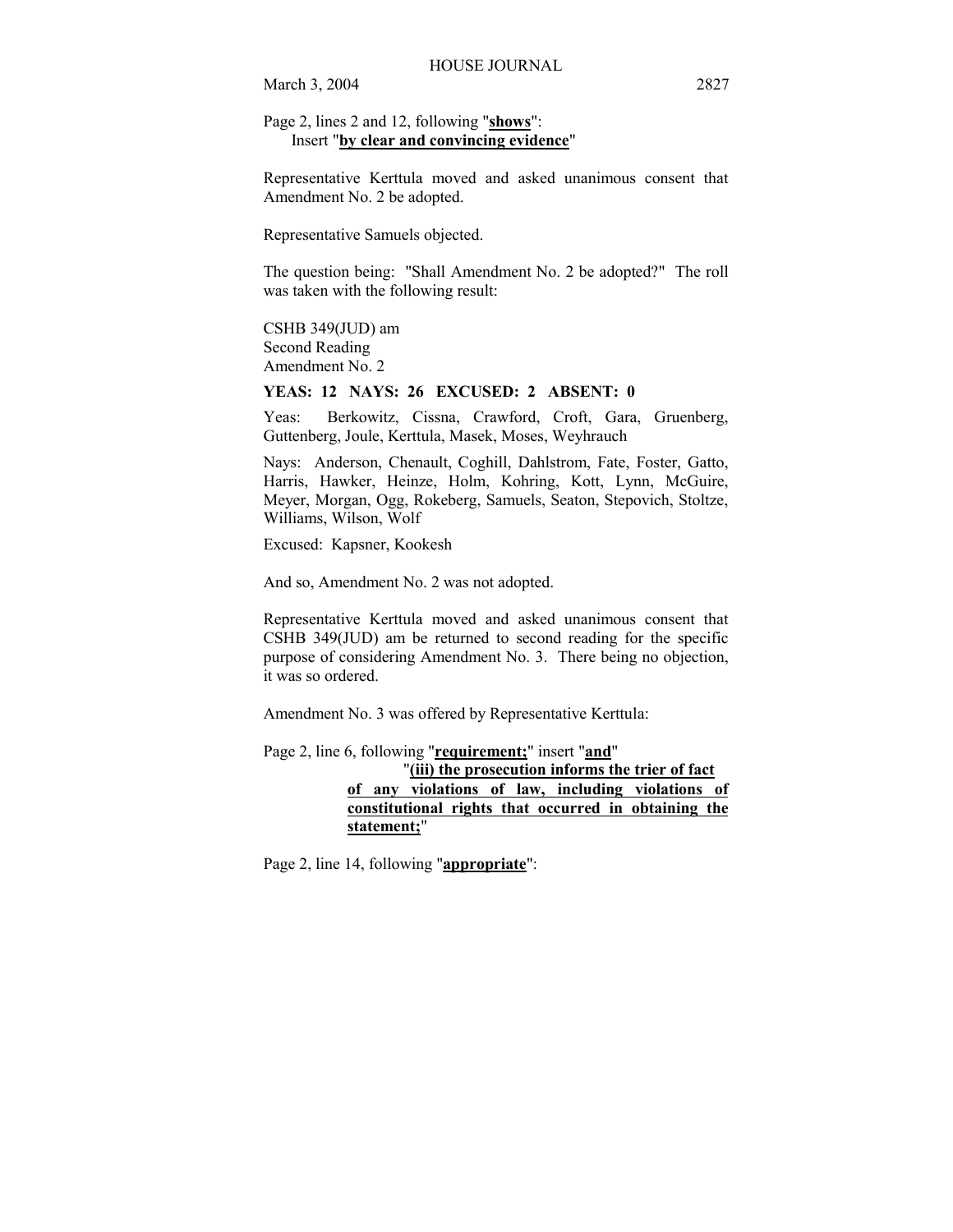## Page 2, lines 2 and 12, following "**shows**": Insert "**by clear and convincing evidence**"

Representative Kerttula moved and asked unanimous consent that Amendment No. 2 be adopted.

Representative Samuels objected.

The question being: "Shall Amendment No. 2 be adopted?" The roll was taken with the following result:

CSHB 349(JUD) am Second Reading Amendment No. 2

## **YEAS: 12 NAYS: 26 EXCUSED: 2 ABSENT: 0**

Yeas: Berkowitz, Cissna, Crawford, Croft, Gara, Gruenberg, Guttenberg, Joule, Kerttula, Masek, Moses, Weyhrauch

Nays: Anderson, Chenault, Coghill, Dahlstrom, Fate, Foster, Gatto, Harris, Hawker, Heinze, Holm, Kohring, Kott, Lynn, McGuire, Meyer, Morgan, Ogg, Rokeberg, Samuels, Seaton, Stepovich, Stoltze, Williams, Wilson, Wolf

Excused: Kapsner, Kookesh

And so, Amendment No. 2 was not adopted.

Representative Kerttula moved and asked unanimous consent that CSHB 349(JUD) am be returned to second reading for the specific purpose of considering Amendment No. 3. There being no objection, it was so ordered.

Amendment No. 3 was offered by Representative Kerttula:

Page 2, line 6, following "**requirement;**" insert "**and**" "**(iii) the prosecution informs the trier of fact of any violations of law, including violations of constitutional rights that occurred in obtaining the statement;**"

Page 2, line 14, following "**appropriate**":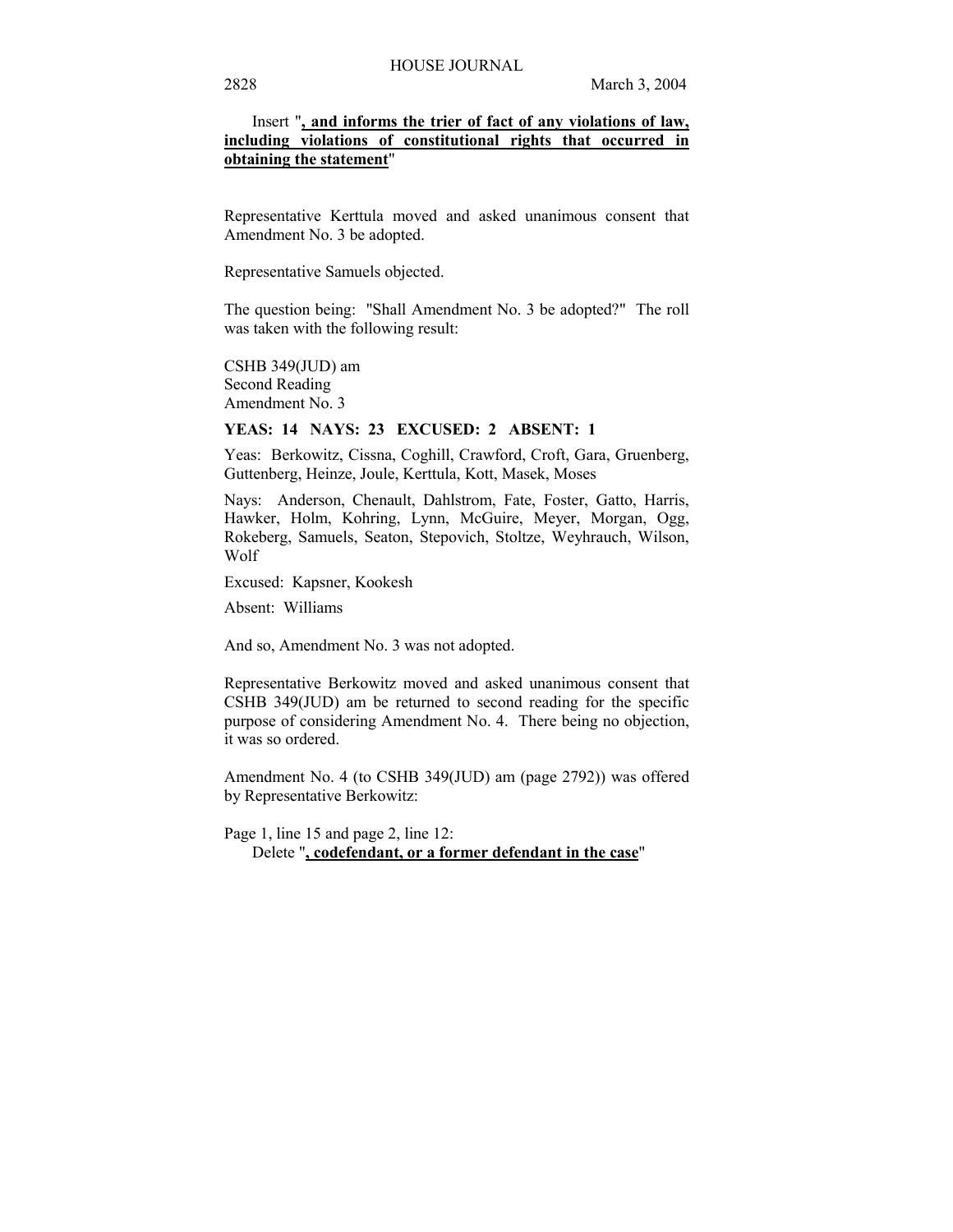## Insert "**, and informs the trier of fact of any violations of law, including violations of constitutional rights that occurred in obtaining the statement**"

Representative Kerttula moved and asked unanimous consent that Amendment No. 3 be adopted.

Representative Samuels objected.

The question being: "Shall Amendment No. 3 be adopted?" The roll was taken with the following result:

CSHB 349(JUD) am Second Reading Amendment No. 3

#### **YEAS: 14 NAYS: 23 EXCUSED: 2 ABSENT: 1**

Yeas: Berkowitz, Cissna, Coghill, Crawford, Croft, Gara, Gruenberg, Guttenberg, Heinze, Joule, Kerttula, Kott, Masek, Moses

Nays: Anderson, Chenault, Dahlstrom, Fate, Foster, Gatto, Harris, Hawker, Holm, Kohring, Lynn, McGuire, Meyer, Morgan, Ogg, Rokeberg, Samuels, Seaton, Stepovich, Stoltze, Weyhrauch, Wilson, Wolf

Excused: Kapsner, Kookesh

Absent: Williams

And so, Amendment No. 3 was not adopted.

Representative Berkowitz moved and asked unanimous consent that CSHB 349(JUD) am be returned to second reading for the specific purpose of considering Amendment No. 4. There being no objection, it was so ordered.

Amendment No. 4 (to CSHB 349(JUD) am (page 2792)) was offered by Representative Berkowitz:

Page 1, line 15 and page 2, line 12:

Delete "**, codefendant, or a former defendant in the case**"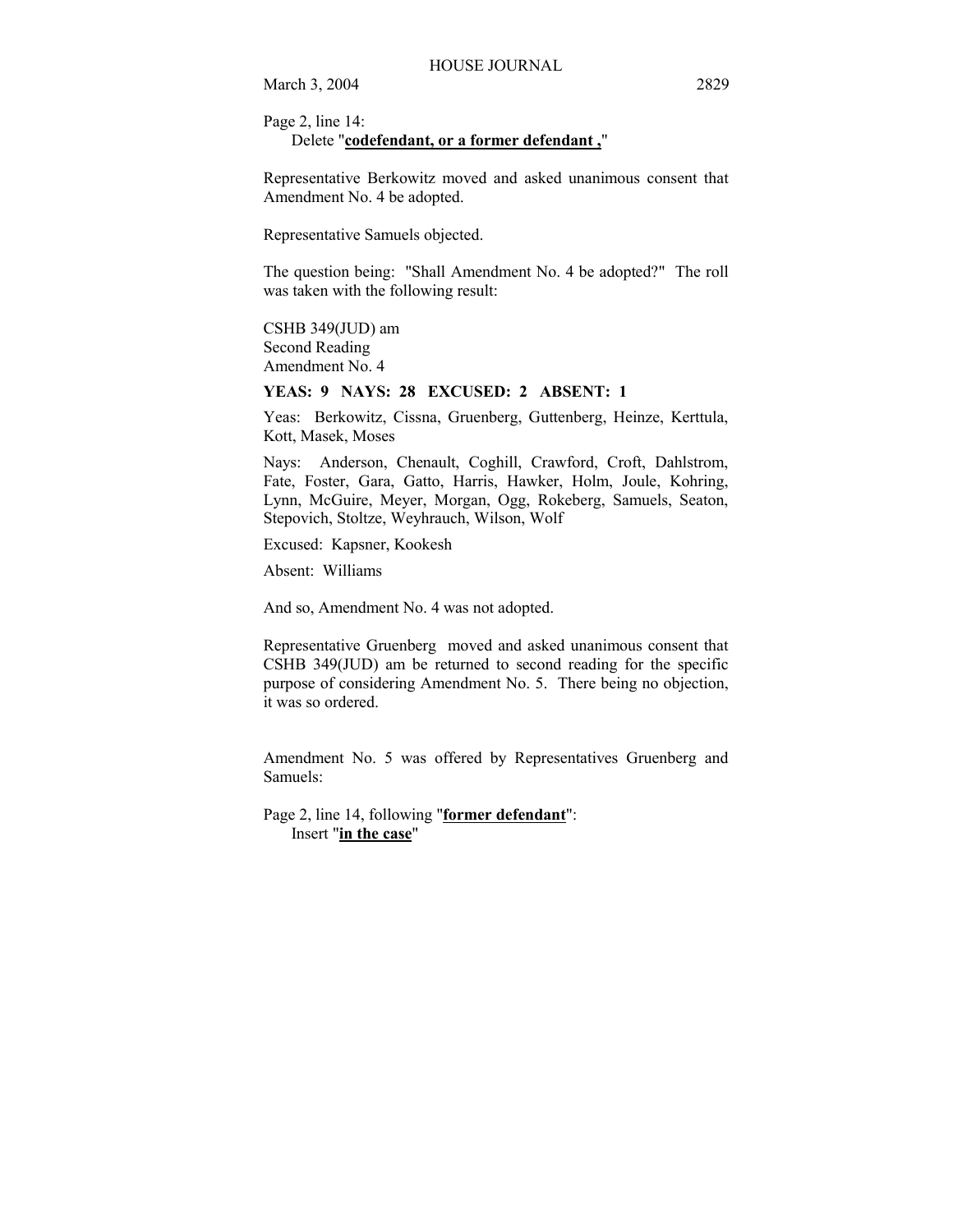Page 2, line 14:

Delete "**codefendant, or a former defendant ,**"

Representative Berkowitz moved and asked unanimous consent that Amendment No. 4 be adopted.

Representative Samuels objected.

The question being: "Shall Amendment No. 4 be adopted?" The roll was taken with the following result:

CSHB 349(JUD) am Second Reading Amendment No. 4

**YEAS: 9 NAYS: 28 EXCUSED: 2 ABSENT: 1** 

Yeas: Berkowitz, Cissna, Gruenberg, Guttenberg, Heinze, Kerttula, Kott, Masek, Moses

Nays: Anderson, Chenault, Coghill, Crawford, Croft, Dahlstrom, Fate, Foster, Gara, Gatto, Harris, Hawker, Holm, Joule, Kohring, Lynn, McGuire, Meyer, Morgan, Ogg, Rokeberg, Samuels, Seaton, Stepovich, Stoltze, Weyhrauch, Wilson, Wolf

Excused: Kapsner, Kookesh

Absent: Williams

And so, Amendment No. 4 was not adopted.

Representative Gruenberg moved and asked unanimous consent that CSHB 349(JUD) am be returned to second reading for the specific purpose of considering Amendment No. 5. There being no objection, it was so ordered.

Amendment No. 5 was offered by Representatives Gruenberg and Samuels:

Page 2, line 14, following "**former defendant**": Insert "**in the case**"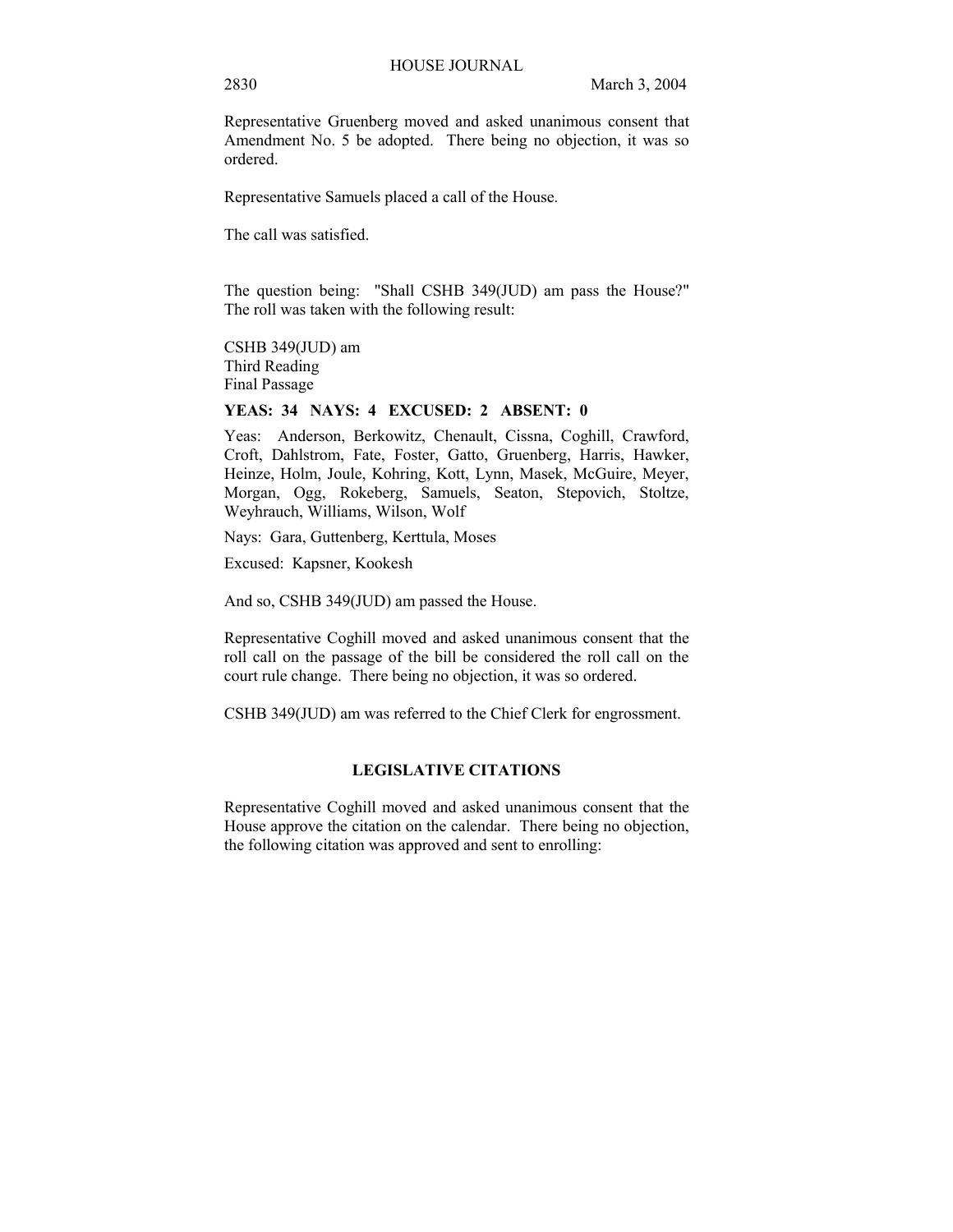Representative Gruenberg moved and asked unanimous consent that Amendment No. 5 be adopted. There being no objection, it was so ordered.

Representative Samuels placed a call of the House.

The call was satisfied.

The question being: "Shall CSHB 349(JUD) am pass the House?" The roll was taken with the following result:

CSHB 349(JUD) am Third Reading Final Passage

## **YEAS: 34 NAYS: 4 EXCUSED: 2 ABSENT: 0**

Yeas: Anderson, Berkowitz, Chenault, Cissna, Coghill, Crawford, Croft, Dahlstrom, Fate, Foster, Gatto, Gruenberg, Harris, Hawker, Heinze, Holm, Joule, Kohring, Kott, Lynn, Masek, McGuire, Meyer, Morgan, Ogg, Rokeberg, Samuels, Seaton, Stepovich, Stoltze, Weyhrauch, Williams, Wilson, Wolf

Nays: Gara, Guttenberg, Kerttula, Moses

Excused: Kapsner, Kookesh

And so, CSHB 349(JUD) am passed the House.

Representative Coghill moved and asked unanimous consent that the roll call on the passage of the bill be considered the roll call on the court rule change. There being no objection, it was so ordered.

CSHB 349(JUD) am was referred to the Chief Clerk for engrossment.

## **LEGISLATIVE CITATIONS**

Representative Coghill moved and asked unanimous consent that the House approve the citation on the calendar. There being no objection, the following citation was approved and sent to enrolling: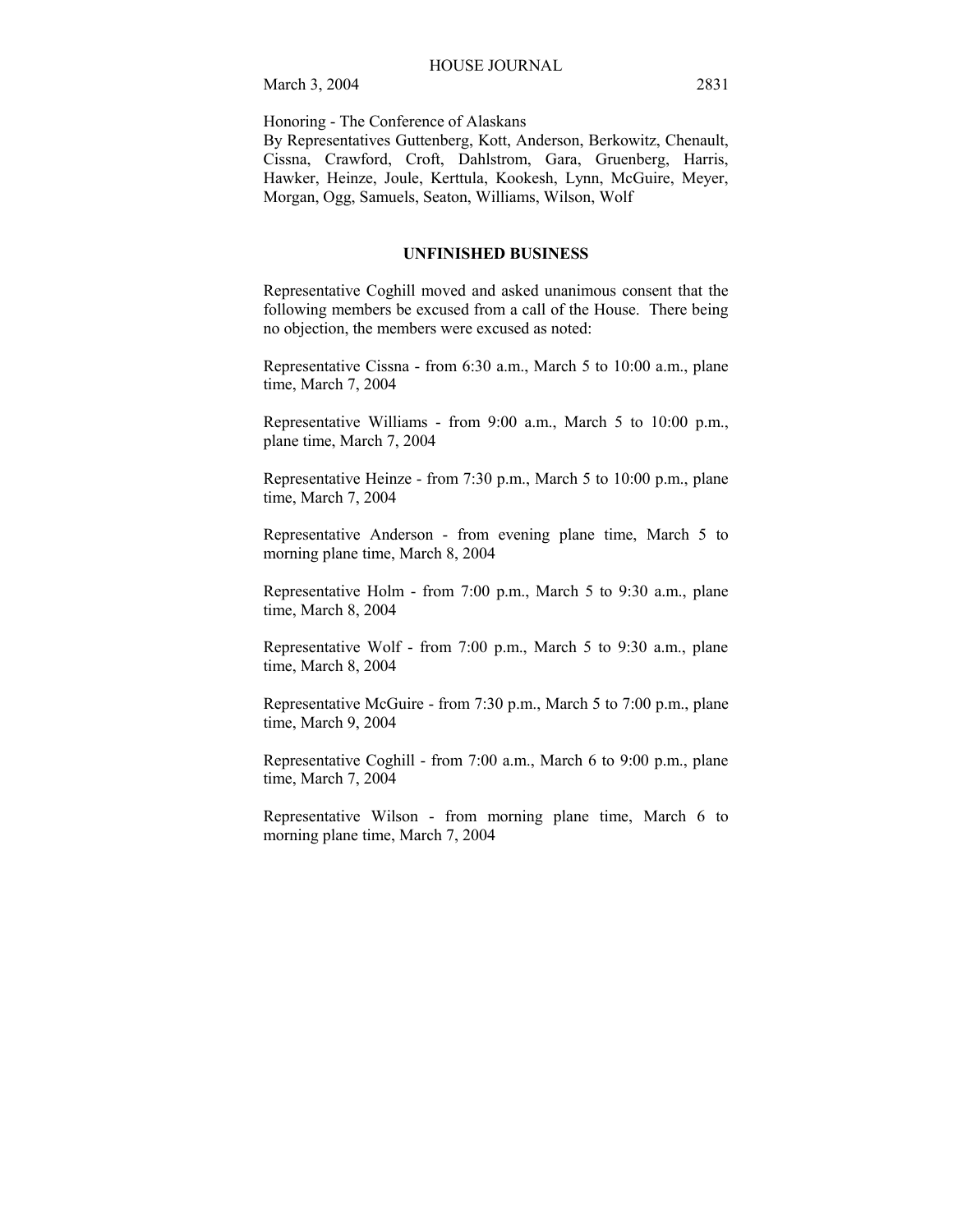Honoring - The Conference of Alaskans

By Representatives Guttenberg, Kott, Anderson, Berkowitz, Chenault, Cissna, Crawford, Croft, Dahlstrom, Gara, Gruenberg, Harris, Hawker, Heinze, Joule, Kerttula, Kookesh, Lynn, McGuire, Meyer, Morgan, Ogg, Samuels, Seaton, Williams, Wilson, Wolf

## **UNFINISHED BUSINESS**

Representative Coghill moved and asked unanimous consent that the following members be excused from a call of the House. There being no objection, the members were excused as noted:

Representative Cissna - from 6:30 a.m., March 5 to 10:00 a.m., plane time, March 7, 2004

Representative Williams - from 9:00 a.m., March 5 to 10:00 p.m., plane time, March 7, 2004

Representative Heinze - from 7:30 p.m., March 5 to 10:00 p.m., plane time, March 7, 2004

Representative Anderson - from evening plane time, March 5 to morning plane time, March 8, 2004

Representative Holm - from 7:00 p.m., March 5 to 9:30 a.m., plane time, March 8, 2004

Representative Wolf - from 7:00 p.m., March 5 to 9:30 a.m., plane time, March 8, 2004

Representative McGuire - from 7:30 p.m., March 5 to 7:00 p.m., plane time, March 9, 2004

Representative Coghill - from 7:00 a.m., March 6 to 9:00 p.m., plane time, March 7, 2004

Representative Wilson - from morning plane time, March 6 to morning plane time, March 7, 2004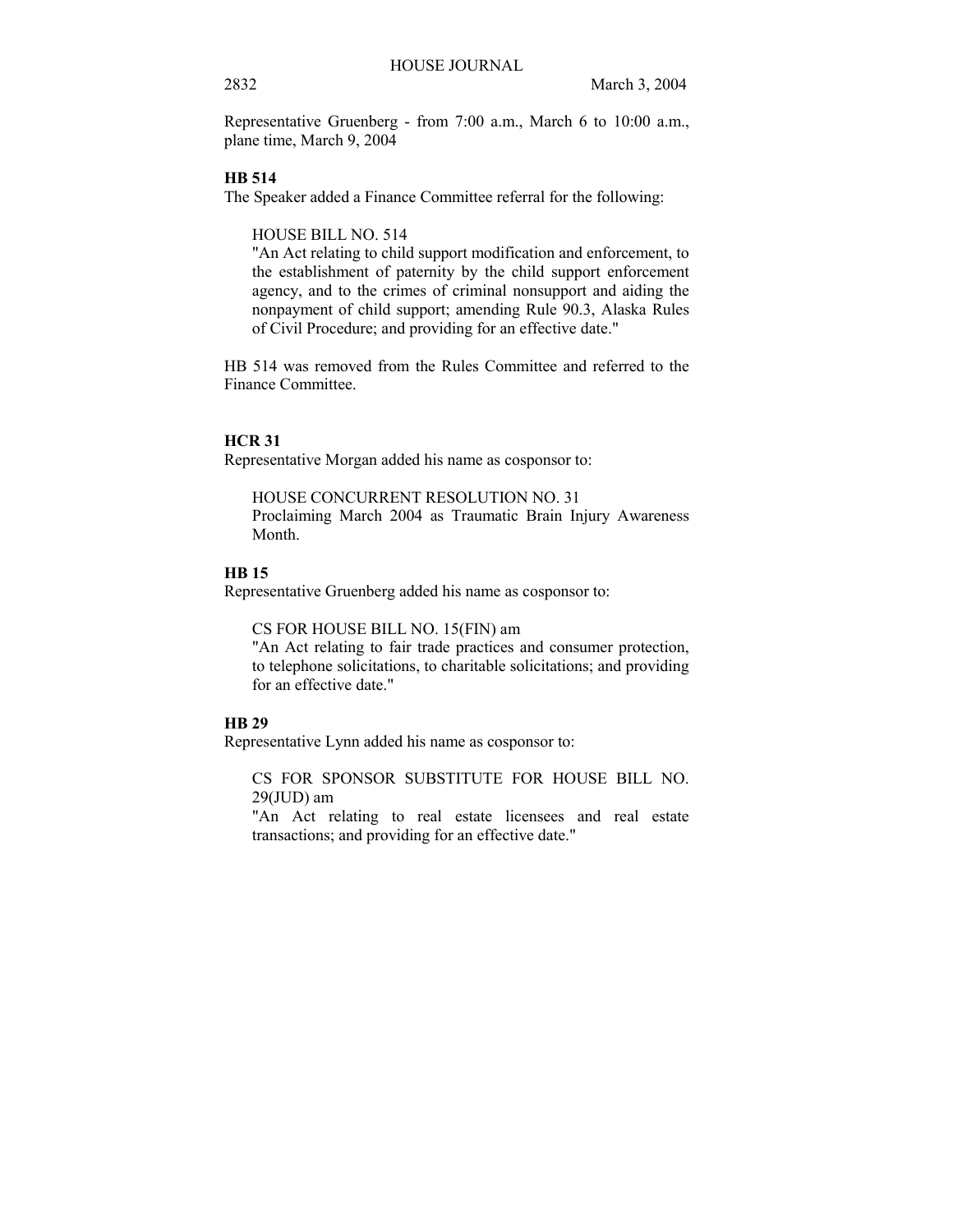Representative Gruenberg - from 7:00 a.m., March 6 to 10:00 a.m., plane time, March 9, 2004

## **HB 514**

The Speaker added a Finance Committee referral for the following:

HOUSE BILL NO. 514

"An Act relating to child support modification and enforcement, to the establishment of paternity by the child support enforcement agency, and to the crimes of criminal nonsupport and aiding the nonpayment of child support; amending Rule 90.3, Alaska Rules of Civil Procedure; and providing for an effective date."

HB 514 was removed from the Rules Committee and referred to the Finance Committee.

## **HCR 31**

Representative Morgan added his name as cosponsor to:

HOUSE CONCURRENT RESOLUTION NO. 31 Proclaiming March 2004 as Traumatic Brain Injury Awareness Month.

## **HB 15**

Representative Gruenberg added his name as cosponsor to:

CS FOR HOUSE BILL NO. 15(FIN) am

"An Act relating to fair trade practices and consumer protection, to telephone solicitations, to charitable solicitations; and providing for an effective date."

## **HB 29**

Representative Lynn added his name as cosponsor to:

CS FOR SPONSOR SUBSTITUTE FOR HOUSE BILL NO.  $29$ (JUD) am

"An Act relating to real estate licensees and real estate transactions; and providing for an effective date."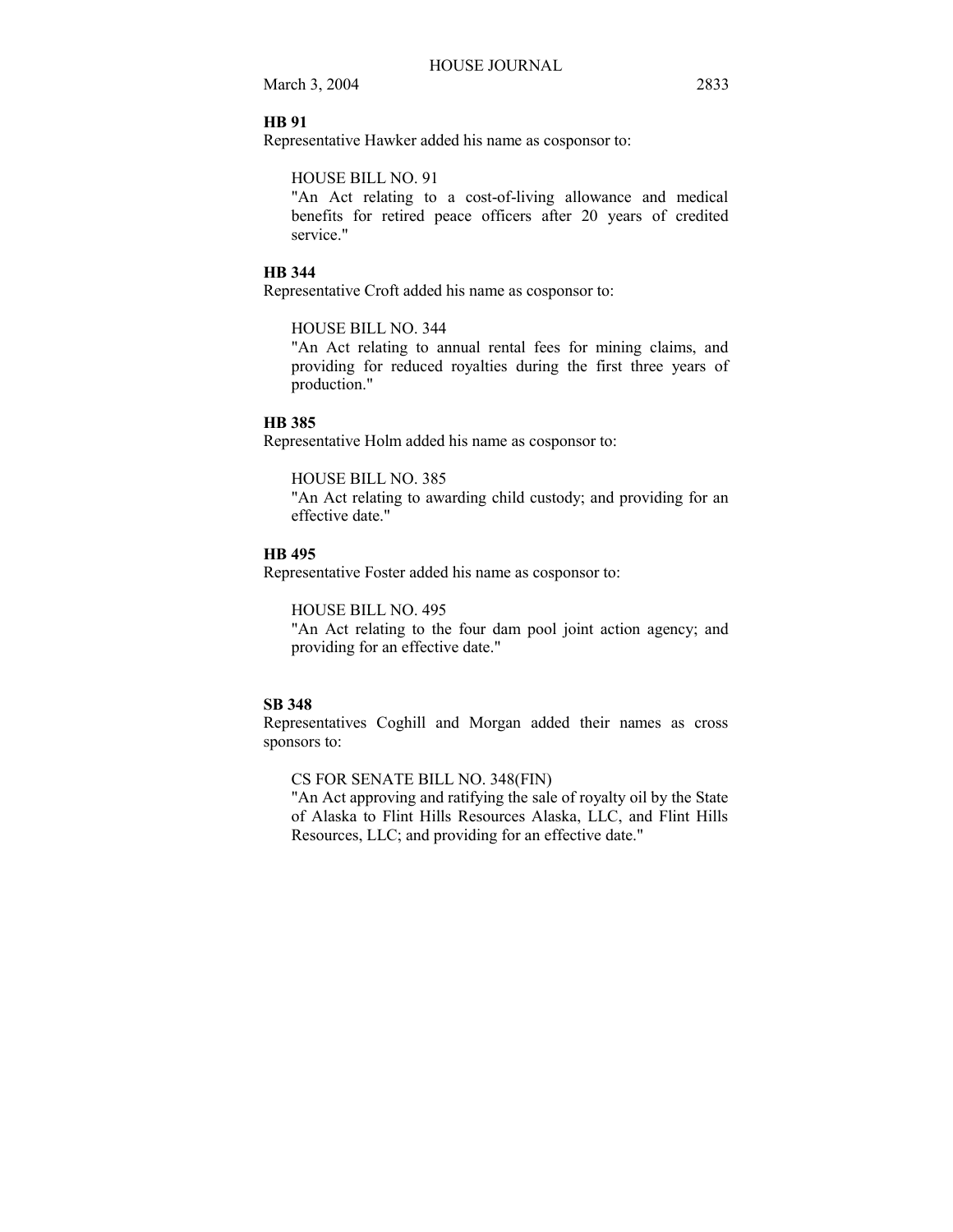## **HB 91**

Representative Hawker added his name as cosponsor to:

## HOUSE BILL NO. 91

"An Act relating to a cost-of-living allowance and medical benefits for retired peace officers after 20 years of credited service."

#### **HB 344**

Representative Croft added his name as cosponsor to:

#### HOUSE BILL NO. 344

"An Act relating to annual rental fees for mining claims, and providing for reduced royalties during the first three years of production."

#### **HB 385**

Representative Holm added his name as cosponsor to:

## HOUSE BILL NO. 385

"An Act relating to awarding child custody; and providing for an effective date."

#### **HB 495**

Representative Foster added his name as cosponsor to:

## HOUSE BILL NO. 495

"An Act relating to the four dam pool joint action agency; and providing for an effective date."

## **SB 348**

Representatives Coghill and Morgan added their names as cross sponsors to:

CS FOR SENATE BILL NO. 348(FIN)

"An Act approving and ratifying the sale of royalty oil by the State of Alaska to Flint Hills Resources Alaska, LLC, and Flint Hills Resources, LLC; and providing for an effective date."